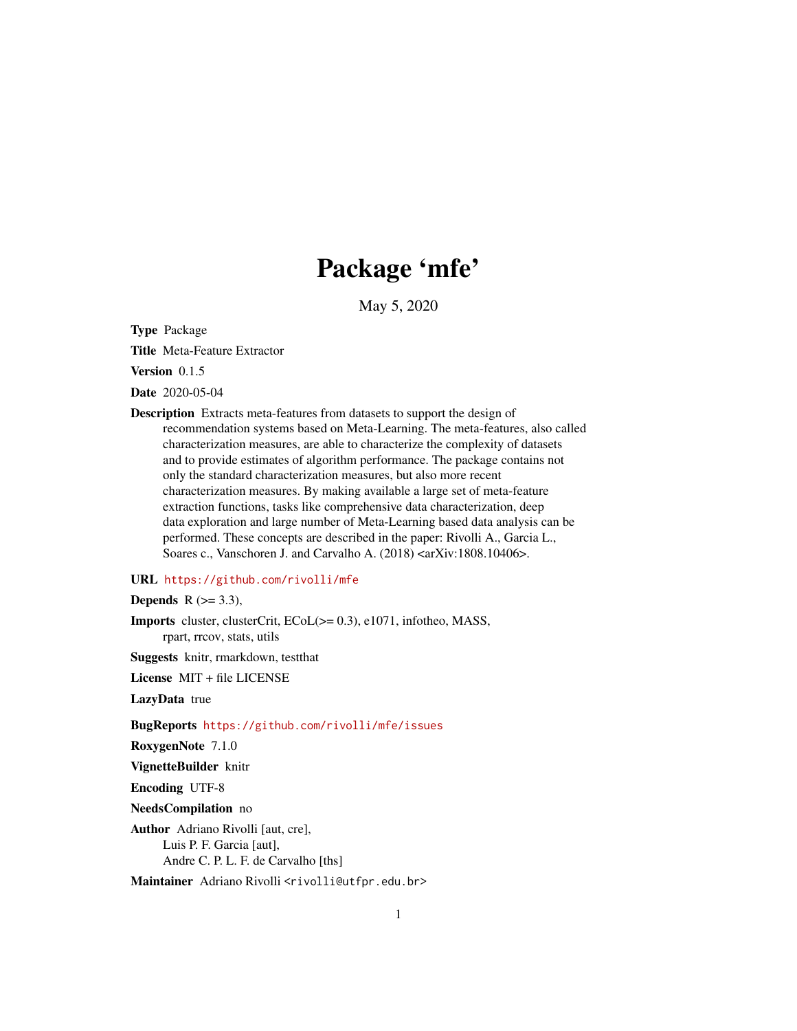# Package 'mfe'

May 5, 2020

<span id="page-0-0"></span>Type Package

Title Meta-Feature Extractor

Version 0.1.5

Date 2020-05-04

Description Extracts meta-features from datasets to support the design of recommendation systems based on Meta-Learning. The meta-features, also called characterization measures, are able to characterize the complexity of datasets and to provide estimates of algorithm performance. The package contains not only the standard characterization measures, but also more recent characterization measures. By making available a large set of meta-feature extraction functions, tasks like comprehensive data characterization, deep data exploration and large number of Meta-Learning based data analysis can be performed. These concepts are described in the paper: Rivolli A., Garcia L., Soares c., Vanschoren J. and Carvalho A. (2018) <arXiv:1808.10406>.

### URL <https://github.com/rivolli/mfe>

Depends  $R$  ( $> = 3.3$ ),

Imports cluster, clusterCrit, ECoL(>= 0.3), e1071, infotheo, MASS, rpart, rrcov, stats, utils

Suggests knitr, rmarkdown, testthat

License MIT + file LICENSE

LazyData true

BugReports <https://github.com/rivolli/mfe/issues>

RoxygenNote 7.1.0

VignetteBuilder knitr

Encoding UTF-8

NeedsCompilation no

Author Adriano Rivolli [aut, cre], Luis P. F. Garcia [aut], Andre C. P. L. F. de Carvalho [ths]

Maintainer Adriano Rivolli <rivolli@utfpr.edu.br>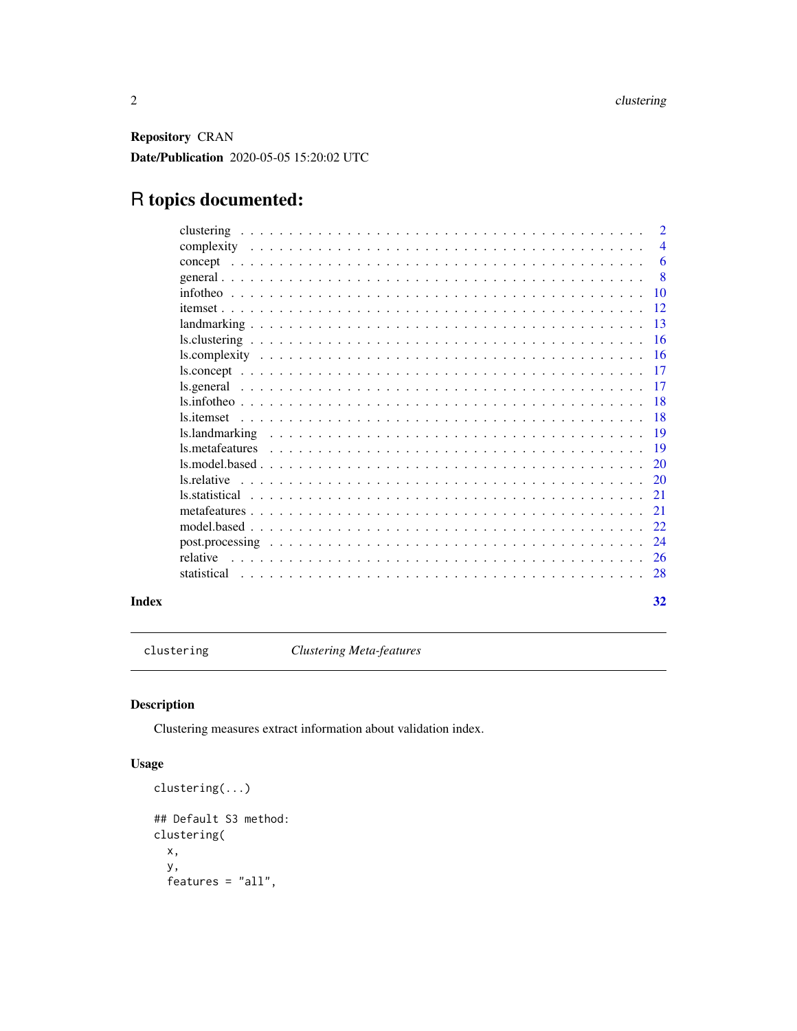<span id="page-1-0"></span>Repository CRAN Date/Publication 2020-05-05 15:20:02 UTC

## R topics documented:

|       |                                                                                                                                                                                                                                                                                                  | $\overline{2}$ |
|-------|--------------------------------------------------------------------------------------------------------------------------------------------------------------------------------------------------------------------------------------------------------------------------------------------------|----------------|
|       |                                                                                                                                                                                                                                                                                                  | $\overline{4}$ |
|       |                                                                                                                                                                                                                                                                                                  | 6              |
|       |                                                                                                                                                                                                                                                                                                  | -8             |
|       |                                                                                                                                                                                                                                                                                                  | 10             |
|       |                                                                                                                                                                                                                                                                                                  | 12             |
|       |                                                                                                                                                                                                                                                                                                  | 13             |
|       |                                                                                                                                                                                                                                                                                                  | <b>16</b>      |
|       |                                                                                                                                                                                                                                                                                                  | <b>16</b>      |
|       |                                                                                                                                                                                                                                                                                                  | 17             |
|       |                                                                                                                                                                                                                                                                                                  | -17            |
|       |                                                                                                                                                                                                                                                                                                  | -18            |
|       |                                                                                                                                                                                                                                                                                                  | <b>18</b>      |
|       |                                                                                                                                                                                                                                                                                                  | -19            |
|       | $\text{ls.metaf}$ at the substitution of $\text{ls.metaf}$ at the substance of $\text{ls.metaf}$ at the substance of $\text{ls.metaf}$ at the substance of $\text{ls.metaf}$ and $\text{ls.metaf}$ at the substance of $\text{ls.metaf}$ and $\text{ls.metaf}$ and $\text{ls.metaf}$ and $\text$ | 19             |
|       |                                                                                                                                                                                                                                                                                                  | 20             |
|       | ls.relative                                                                                                                                                                                                                                                                                      | 20             |
|       |                                                                                                                                                                                                                                                                                                  | 21             |
|       |                                                                                                                                                                                                                                                                                                  | 21             |
|       |                                                                                                                                                                                                                                                                                                  | 22             |
|       |                                                                                                                                                                                                                                                                                                  | 24             |
|       | relative                                                                                                                                                                                                                                                                                         | 26             |
|       |                                                                                                                                                                                                                                                                                                  | 28             |
| Index |                                                                                                                                                                                                                                                                                                  | 32             |

<span id="page-1-1"></span>clustering *Clustering Meta-features*

### Description

Clustering measures extract information about validation index.

### Usage

```
clustering(...)
## Default S3 method:
clustering(
 x,
 y,
 features = "all",
```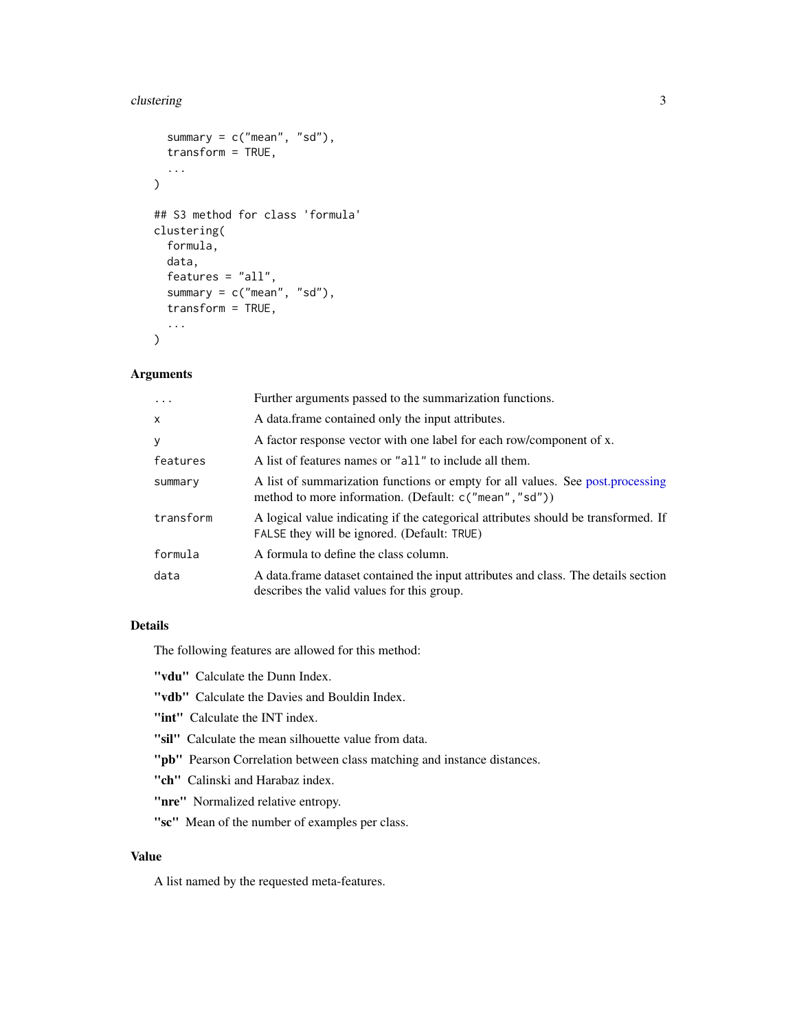#### <span id="page-2-0"></span>clustering 3

```
summary = c("mean", "sd"),
  transform = TRUE,
  ...
\mathcal{L}## S3 method for class 'formula'
clustering(
  formula,
  data,
  features = "all",
  summary = c("mean", "sd"),
  transform = TRUE,
  ...
)
```
### Arguments

| $\cdots$  | Further arguments passed to the summarization functions.                                                                                  |
|-----------|-------------------------------------------------------------------------------------------------------------------------------------------|
| $\times$  | A data frame contained only the input attributes.                                                                                         |
| У         | A factor response vector with one label for each row/component of x.                                                                      |
| features  | A list of features names or "all" to include all them.                                                                                    |
| summary   | A list of summarization functions or empty for all values. See post, processing<br>method to more information. (Default: c("mean", "sd")) |
| transform | A logical value indicating if the categorical attributes should be transformed. If<br>FALSE they will be ignored. (Default: TRUE)         |
| formula   | A formula to define the class column.                                                                                                     |
| data      | A data frame dataset contained the input attributes and class. The details section<br>describes the valid values for this group.          |

### Details

The following features are allowed for this method:

"vdu" Calculate the Dunn Index.

"vdb" Calculate the Davies and Bouldin Index.

"int" Calculate the INT index.

- "sil" Calculate the mean silhouette value from data.
- "pb" Pearson Correlation between class matching and instance distances.

"ch" Calinski and Harabaz index.

"nre" Normalized relative entropy.

"sc" Mean of the number of examples per class.

### Value

A list named by the requested meta-features.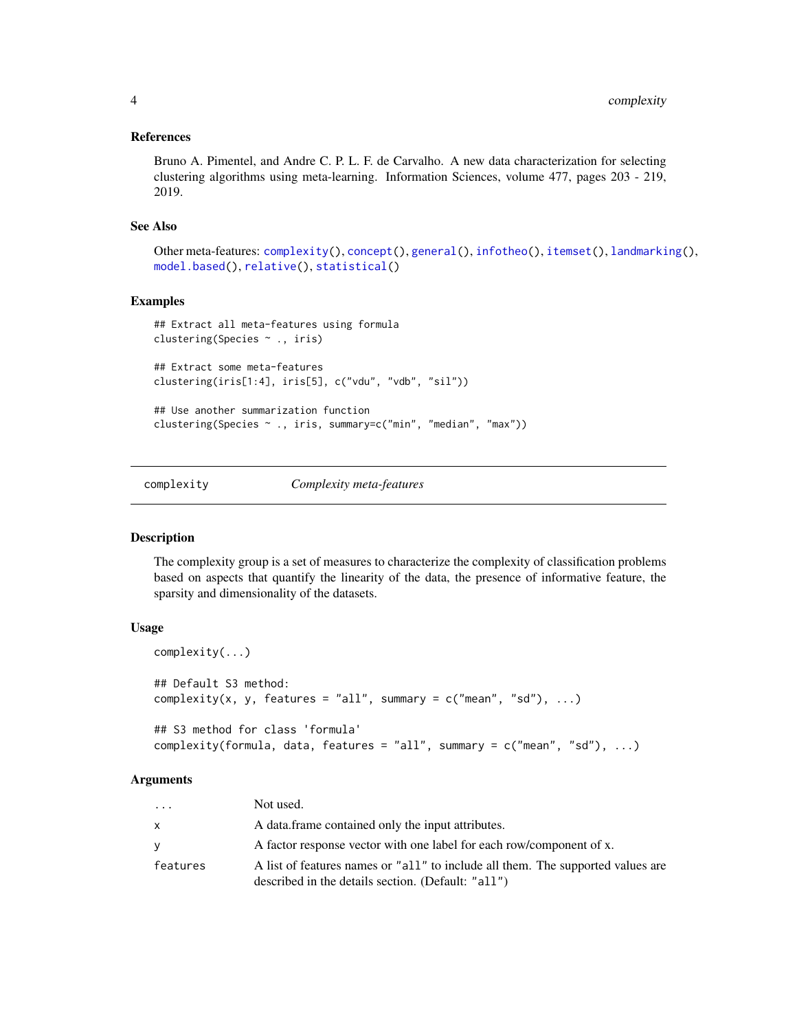### <span id="page-3-0"></span>References

Bruno A. Pimentel, and Andre C. P. L. F. de Carvalho. A new data characterization for selecting clustering algorithms using meta-learning. Information Sciences, volume 477, pages 203 - 219, 2019.

### See Also

```
Other meta-features: complexity(), concept(), general(), infotheo(), itemset(), landmarking(),
model.based(), relative(), statistical()
```
#### Examples

```
## Extract all meta-features using formula
clustering(Species ~ ., iris)
## Extract some meta-features
clustering(iris[1:4], iris[5], c("vdu", "vdb", "sil"))
## Use another summarization function
clustering(Species ~ ., iris, summary=c("min", "median", "max"))
```
<span id="page-3-1"></span>complexity *Complexity meta-features*

### Description

The complexity group is a set of measures to characterize the complexity of classification problems based on aspects that quantify the linearity of the data, the presence of informative feature, the sparsity and dimensionality of the datasets.

#### Usage

```
complexity(...)
## Default S3 method:
complexity(x, y, features = "all", summary = c("mean", "sd"), ...)
## S3 method for class 'formula'
complexity(formula, data, features = "all", summary = c("mean", "sd"), ...)
```
#### Arguments

| $\cdots$ | Not used.                                                                                                                             |
|----------|---------------------------------------------------------------------------------------------------------------------------------------|
| X        | A data frame contained only the input attributes.                                                                                     |
| V        | A factor response vector with one label for each row/component of x.                                                                  |
| features | A list of features names or "all" to include all them. The supported values are<br>described in the details section. (Default: "all") |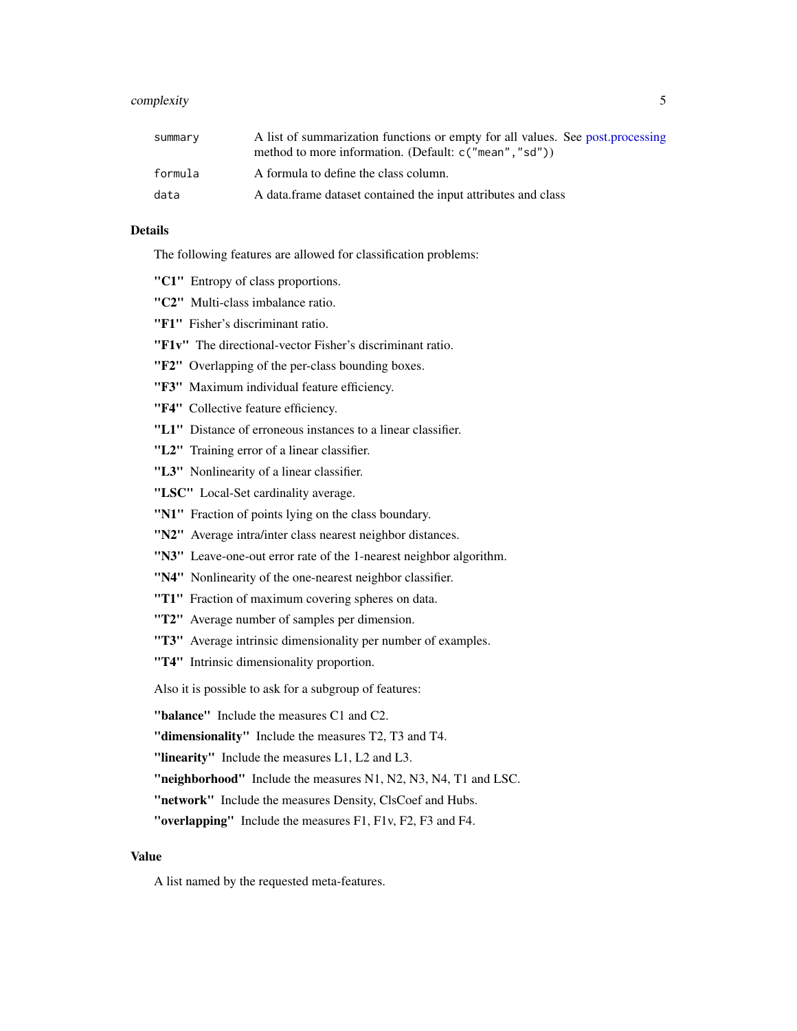### <span id="page-4-0"></span>complexity 5

| summary | A list of summarization functions or empty for all values. See post.processing<br>method to more information. (Default: c("mean", "sd")) |
|---------|------------------------------------------------------------------------------------------------------------------------------------------|
| formula | A formula to define the class column.                                                                                                    |
| data    | A data frame dataset contained the input attributes and class                                                                            |

### Details

The following features are allowed for classification problems:

- "C1" Entropy of class proportions.
- "C2" Multi-class imbalance ratio.
- "F1" Fisher's discriminant ratio.
- "F1v" The directional-vector Fisher's discriminant ratio.
- "F2" Overlapping of the per-class bounding boxes.
- "F3" Maximum individual feature efficiency.
- "F4" Collective feature efficiency.
- "L1" Distance of erroneous instances to a linear classifier.
- "L2" Training error of a linear classifier.
- "L3" Nonlinearity of a linear classifier.
- "LSC" Local-Set cardinality average.
- "N1" Fraction of points lying on the class boundary.
- "N2" Average intra/inter class nearest neighbor distances.
- "N3" Leave-one-out error rate of the 1-nearest neighbor algorithm.
- "N4" Nonlinearity of the one-nearest neighbor classifier.
- "T1" Fraction of maximum covering spheres on data.
- "T2" Average number of samples per dimension.
- "T3" Average intrinsic dimensionality per number of examples.
- "T4" Intrinsic dimensionality proportion.

Also it is possible to ask for a subgroup of features:

- "balance" Include the measures C1 and C2.
- "dimensionality" Include the measures T2, T3 and T4.
- "linearity" Include the measures L1, L2 and L3.
- "neighborhood" Include the measures N1, N2, N3, N4, T1 and LSC.
- "network" Include the measures Density, ClsCoef and Hubs.
- "overlapping" Include the measures F1, F1v, F2, F3 and F4.

#### Value

A list named by the requested meta-features.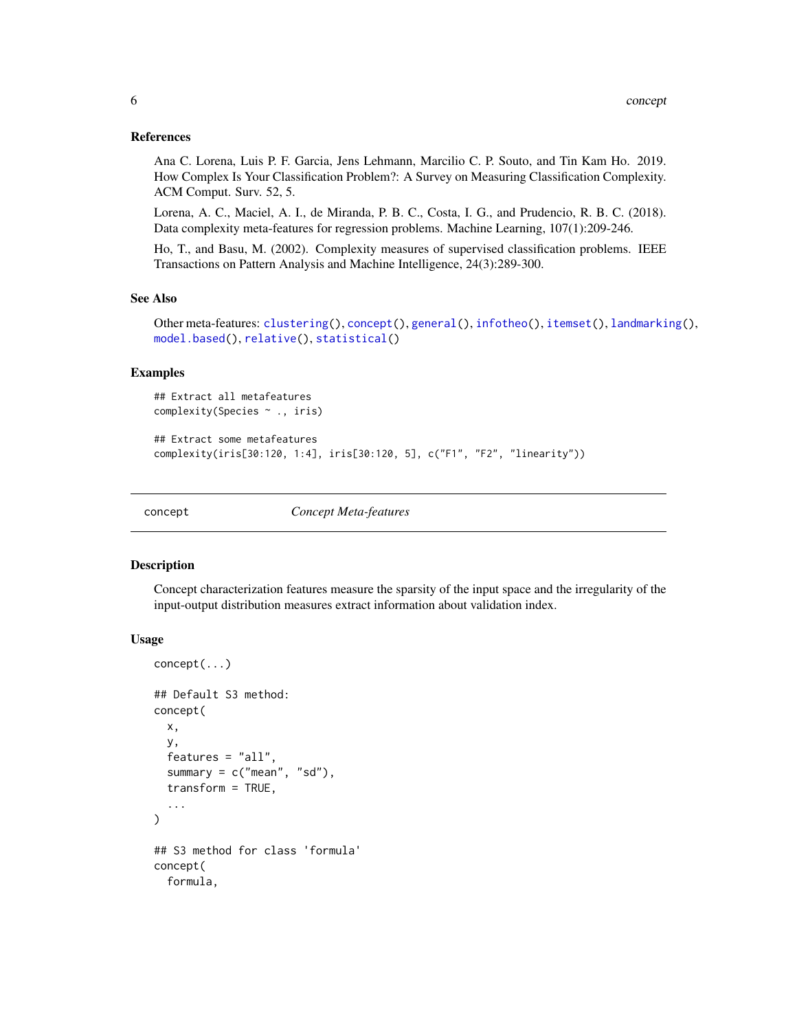#### <span id="page-5-0"></span>References

Ana C. Lorena, Luis P. F. Garcia, Jens Lehmann, Marcilio C. P. Souto, and Tin Kam Ho. 2019. How Complex Is Your Classification Problem?: A Survey on Measuring Classification Complexity. ACM Comput. Surv. 52, 5.

Lorena, A. C., Maciel, A. I., de Miranda, P. B. C., Costa, I. G., and Prudencio, R. B. C. (2018). Data complexity meta-features for regression problems. Machine Learning, 107(1):209-246.

Ho, T., and Basu, M. (2002). Complexity measures of supervised classification problems. IEEE Transactions on Pattern Analysis and Machine Intelligence, 24(3):289-300.

#### See Also

```
Other meta-features: clustering(), concept(), general(), infotheo(), itemset(), landmarking(),
model.based(), relative(), statistical()
```
### Examples

```
## Extract all metafeatures
complexity(Species ~ ., iris)
```

```
## Extract some metafeatures
complexity(iris[30:120, 1:4], iris[30:120, 5], c("F1", "F2", "linearity"))
```
<span id="page-5-1"></span>

concept *Concept Meta-features*

### **Description**

Concept characterization features measure the sparsity of the input space and the irregularity of the input-output distribution measures extract information about validation index.

#### Usage

```
concept(...)
## Default S3 method:
concept(
  x,
  y,
  features = "all",
  summary = c("mean", "sd"),
  transform = TRUE,
  ...
)
## S3 method for class 'formula'
concept(
  formula,
```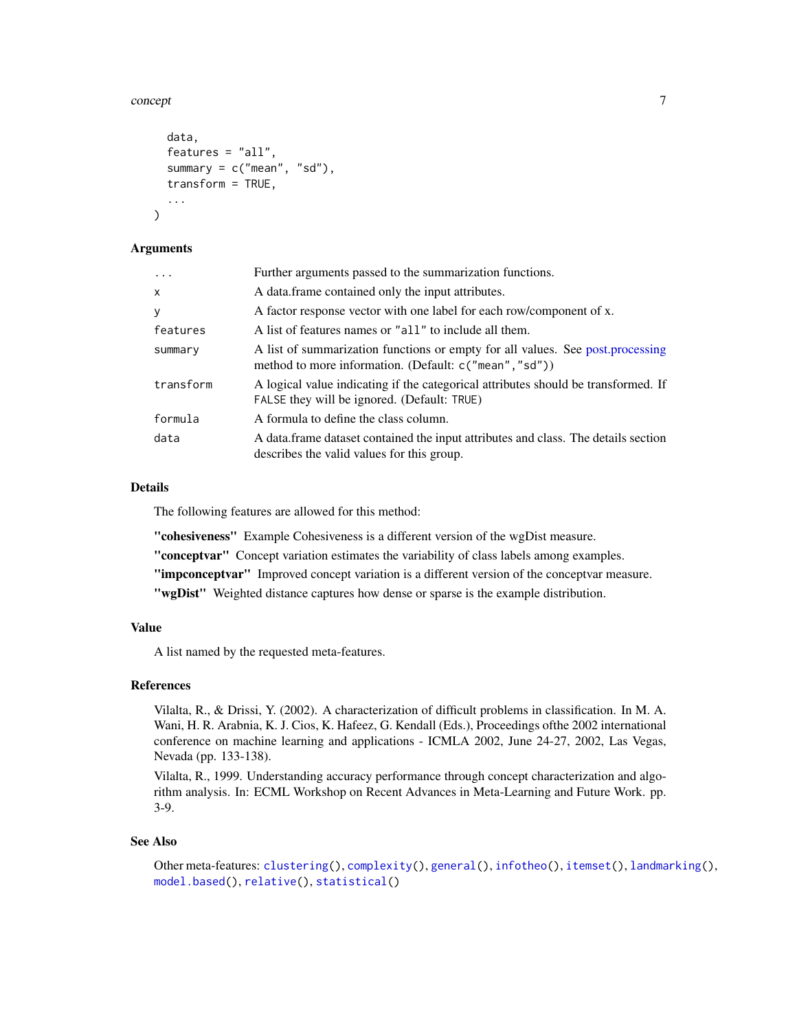#### <span id="page-6-0"></span>concept 7

```
data,
  features = "all",
  summary = c("mean", "sd"),
  transform = TRUE,
  ...
)
```
### Arguments

| $\ddots$  | Further arguments passed to the summarization functions.                                                                                 |
|-----------|------------------------------------------------------------------------------------------------------------------------------------------|
| X         | A data frame contained only the input attributes.                                                                                        |
| У         | A factor response vector with one label for each row/component of x.                                                                     |
| features  | A list of features names or "all" to include all them.                                                                                   |
| summary   | A list of summarization functions or empty for all values. See post.processing<br>method to more information. (Default: c("mean", "sd")) |
| transform | A logical value indicating if the categorical attributes should be transformed. If<br>FALSE they will be ignored. (Default: TRUE)        |
| formula   | A formula to define the class column.                                                                                                    |
| data      | A data frame dataset contained the input attributes and class. The details section<br>describes the valid values for this group.         |

#### Details

The following features are allowed for this method:

"cohesiveness" Example Cohesiveness is a different version of the wgDist measure.

"conceptvar" Concept variation estimates the variability of class labels among examples.

"impconceptvar" Improved concept variation is a different version of the conceptvar measure.

"wgDist" Weighted distance captures how dense or sparse is the example distribution.

### Value

A list named by the requested meta-features.

### References

Vilalta, R., & Drissi, Y. (2002). A characterization of difficult problems in classification. In M. A. Wani, H. R. Arabnia, K. J. Cios, K. Hafeez, G. Kendall (Eds.), Proceedings ofthe 2002 international conference on machine learning and applications - ICMLA 2002, June 24-27, 2002, Las Vegas, Nevada (pp. 133-138).

Vilalta, R., 1999. Understanding accuracy performance through concept characterization and algorithm analysis. In: ECML Workshop on Recent Advances in Meta-Learning and Future Work. pp. 3-9.

#### See Also

Other meta-features: [clustering\(](#page-1-1)), [complexity\(](#page-3-1)), [general\(](#page-7-1)), [infotheo\(](#page-9-1)), [itemset\(](#page-11-1)), [landmarking\(](#page-12-1)), [model.based\(](#page-21-1)), [relative\(](#page-25-1)), [statistical\(](#page-27-1))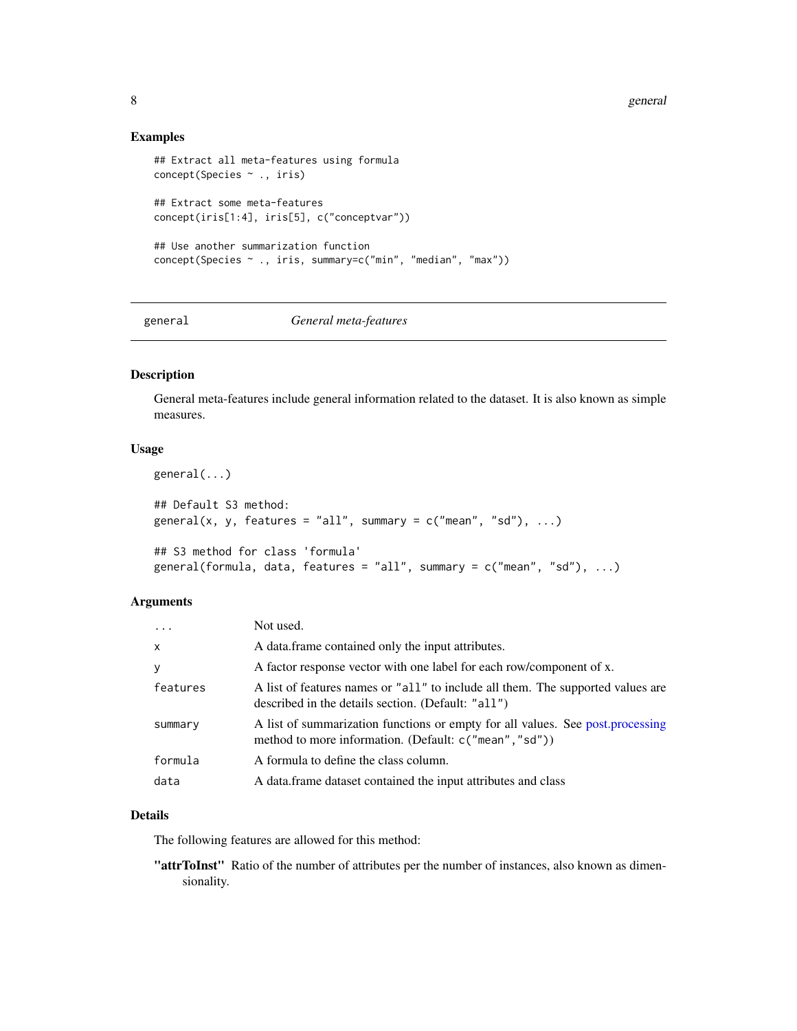8 general states of the state of the state of the state of the state of the state of the state of the state of the state of the state of the state of the state of the state of the state of the state of the state of the sta

#### Examples

```
## Extract all meta-features using formula
concept(Species ~ ., iris)
## Extract some meta-features
concept(iris[1:4], iris[5], c("conceptvar"))
## Use another summarization function
concept(Species ~ ., iris, summary=c("min", "median", "max"))
```
### <span id="page-7-1"></span>general *General meta-features*

### Description

General meta-features include general information related to the dataset. It is also known as simple measures.

### Usage

```
general(...)
## Default S3 method:
general(x, y, features = "all", summary = c("mean", "sd"), ...)
## S3 method for class 'formula'
general(formula, data, features = "all", summary = c("mean", "sd"), ...)
```
### Arguments

| $\cdots$ | Not used.                                                                                                                                 |
|----------|-------------------------------------------------------------------------------------------------------------------------------------------|
| X        | A data frame contained only the input attributes.                                                                                         |
| У        | A factor response vector with one label for each row/component of x.                                                                      |
| features | A list of features names or "all" to include all them. The supported values are<br>described in the details section. (Default: "all")     |
| summary  | A list of summarization functions or empty for all values. See post, processing<br>method to more information. (Default: c("mean", "sd")) |
| formula  | A formula to define the class column.                                                                                                     |
| data     | A data frame dataset contained the input attributes and class                                                                             |
|          |                                                                                                                                           |

### Details

The following features are allowed for this method:

"attrToInst" Ratio of the number of attributes per the number of instances, also known as dimensionality.

<span id="page-7-0"></span>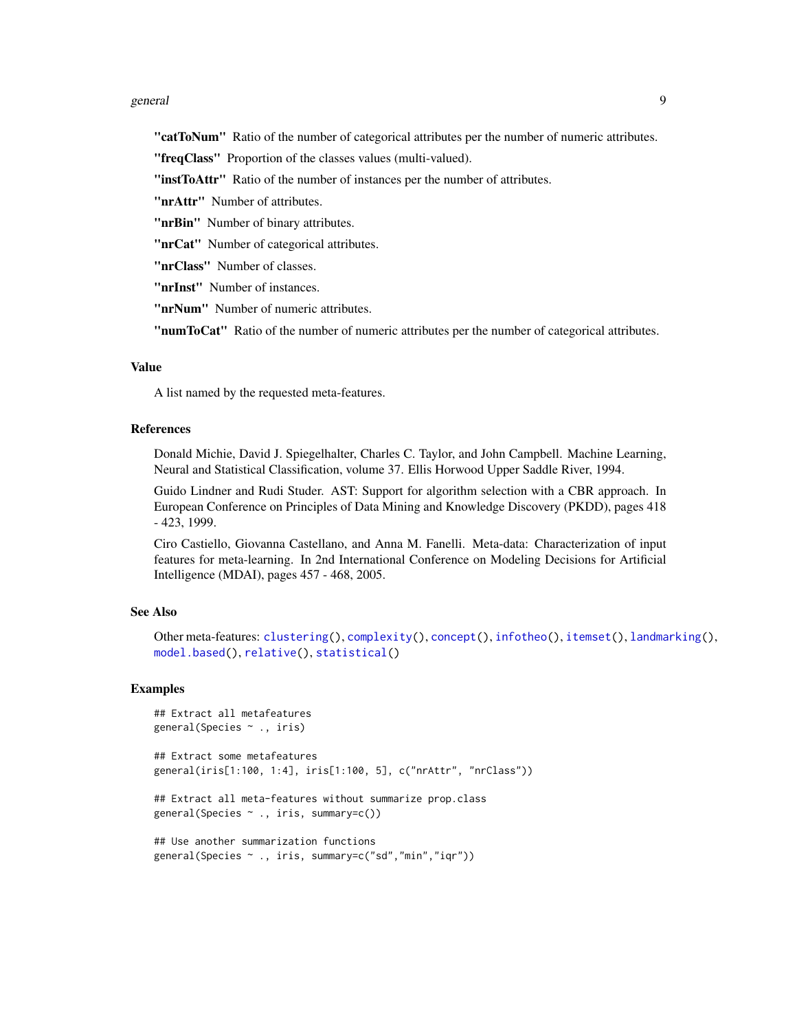#### <span id="page-8-0"></span>general the set of the set of the set of the set of the set of the set of the set of the set of the set of the set of the set of the set of the set of the set of the set of the set of the set of the set of the set of the s

"catToNum" Ratio of the number of categorical attributes per the number of numeric attributes.

"freqClass" Proportion of the classes values (multi-valued).

"instToAttr" Ratio of the number of instances per the number of attributes.

"nrAttr" Number of attributes.

"**nrBin**" Number of binary attributes.

"nrCat" Number of categorical attributes.

"nrClass" Number of classes.

"nrInst" Number of instances.

"nrNum" Number of numeric attributes.

"numToCat" Ratio of the number of numeric attributes per the number of categorical attributes.

#### Value

A list named by the requested meta-features.

#### References

Donald Michie, David J. Spiegelhalter, Charles C. Taylor, and John Campbell. Machine Learning, Neural and Statistical Classification, volume 37. Ellis Horwood Upper Saddle River, 1994.

Guido Lindner and Rudi Studer. AST: Support for algorithm selection with a CBR approach. In European Conference on Principles of Data Mining and Knowledge Discovery (PKDD), pages 418 - 423, 1999.

Ciro Castiello, Giovanna Castellano, and Anna M. Fanelli. Meta-data: Characterization of input features for meta-learning. In 2nd International Conference on Modeling Decisions for Artificial Intelligence (MDAI), pages 457 - 468, 2005.

### See Also

```
Other meta-features: clustering(), complexity(), concept(), infotheo(), itemset(), landmarking(),
model.based(), relative(), statistical()
```
#### Examples

```
## Extract all metafeatures
general(Species ~ ., iris)
## Extract some metafeatures
general(iris[1:100, 1:4], iris[1:100, 5], c("nrAttr", "nrClass"))
## Extract all meta-features without summarize prop.class
general(Species ~ ., iris, summary=c())
## Use another summarization functions
general(Species ~ ., iris, summary=c("sd","min","iqr"))
```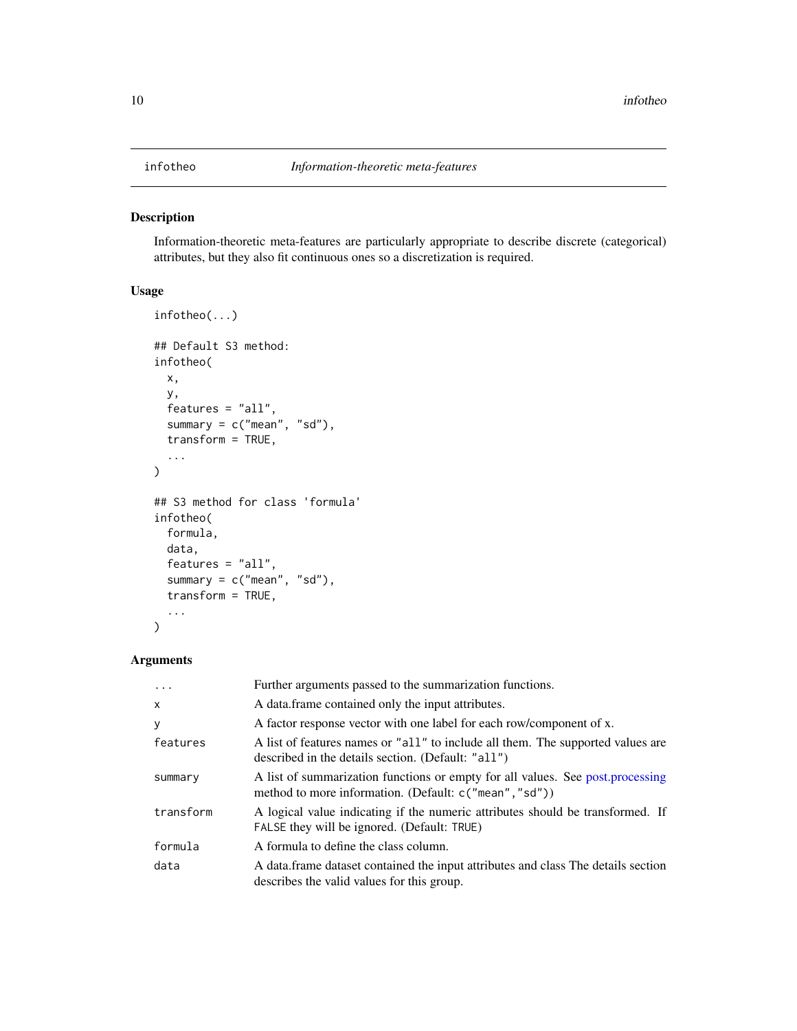<span id="page-9-1"></span><span id="page-9-0"></span>Information-theoretic meta-features are particularly appropriate to describe discrete (categorical) attributes, but they also fit continuous ones so a discretization is required.

### Usage

```
infotheo(...)
## Default S3 method:
infotheo(
  x,
 y,
  features = "all",summary = c("mean", "sd"),
  transform = TRUE,
  ...
)
## S3 method for class 'formula'
infotheo(
  formula,
  data,
  features = "all",
  summary = c("mean", "sd"),
  transform = TRUE,
  ...
)
```
### Arguments

| $\cdot$      | Further arguments passed to the summarization functions.                                                                                 |
|--------------|------------------------------------------------------------------------------------------------------------------------------------------|
| $\mathsf{x}$ | A data frame contained only the input attributes.                                                                                        |
| У            | A factor response vector with one label for each row/component of x.                                                                     |
| features     | A list of features names or "all" to include all them. The supported values are<br>described in the details section. (Default: "all")    |
| summary      | A list of summarization functions or empty for all values. See post processing<br>method to more information. (Default: c("mean", "sd")) |
| transform    | A logical value indicating if the numeric attributes should be transformed. If<br>FALSE they will be ignored. (Default: TRUE)            |
| formula      | A formula to define the class column.                                                                                                    |
| data         | A data. frame dataset contained the input attributes and class The details section<br>describes the valid values for this group.         |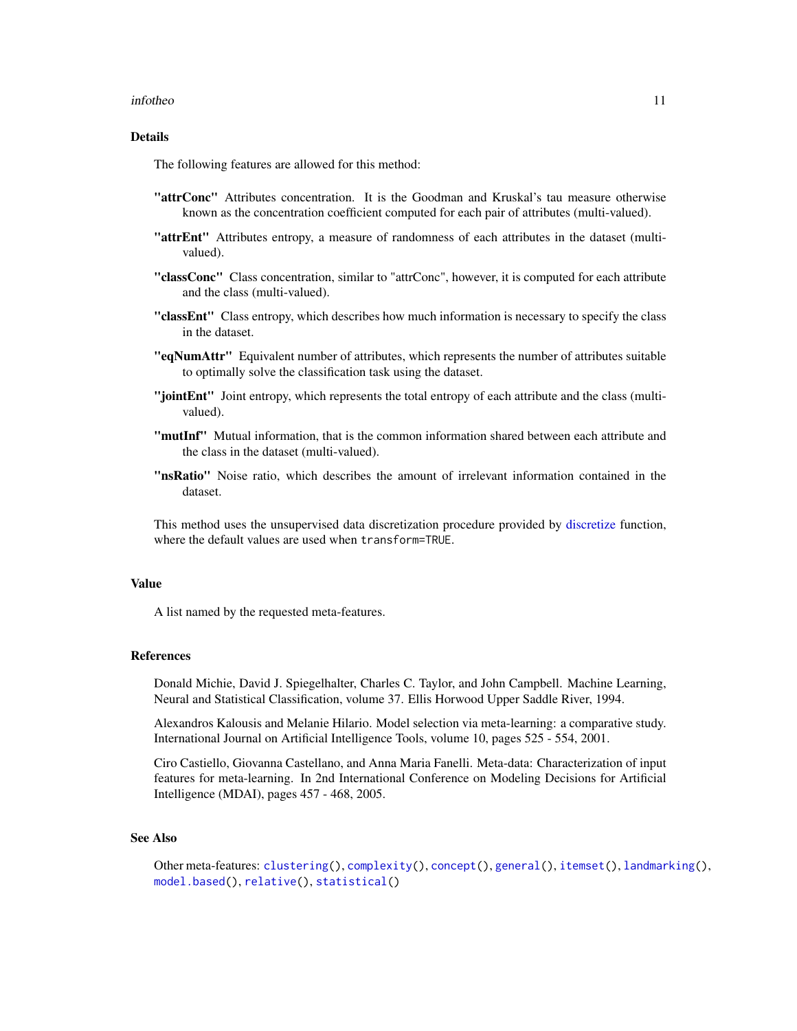#### <span id="page-10-0"></span>infotheo 11

### Details

The following features are allowed for this method:

- "attrConc" Attributes concentration. It is the Goodman and Kruskal's tau measure otherwise known as the concentration coefficient computed for each pair of attributes (multi-valued).
- "attrEnt" Attributes entropy, a measure of randomness of each attributes in the dataset (multivalued).
- "classConc" Class concentration, similar to "attrConc", however, it is computed for each attribute and the class (multi-valued).
- "classEnt" Class entropy, which describes how much information is necessary to specify the class in the dataset.
- "eqNumAttr" Equivalent number of attributes, which represents the number of attributes suitable to optimally solve the classification task using the dataset.
- "jointEnt" Joint entropy, which represents the total entropy of each attribute and the class (multivalued).
- "mutInf" Mutual information, that is the common information shared between each attribute and the class in the dataset (multi-valued).
- "nsRatio" Noise ratio, which describes the amount of irrelevant information contained in the dataset.

This method uses the unsupervised data discretization procedure provided by [discretize](#page-0-0) function, where the default values are used when transform=TRUE.

### Value

A list named by the requested meta-features.

#### References

Donald Michie, David J. Spiegelhalter, Charles C. Taylor, and John Campbell. Machine Learning, Neural and Statistical Classification, volume 37. Ellis Horwood Upper Saddle River, 1994.

Alexandros Kalousis and Melanie Hilario. Model selection via meta-learning: a comparative study. International Journal on Artificial Intelligence Tools, volume 10, pages 525 - 554, 2001.

Ciro Castiello, Giovanna Castellano, and Anna Maria Fanelli. Meta-data: Characterization of input features for meta-learning. In 2nd International Conference on Modeling Decisions for Artificial Intelligence (MDAI), pages 457 - 468, 2005.

### See Also

```
Other meta-features: clustering(), complexity(), concept(), general(), itemset(), landmarking(),
model.based(), relative(), statistical()
```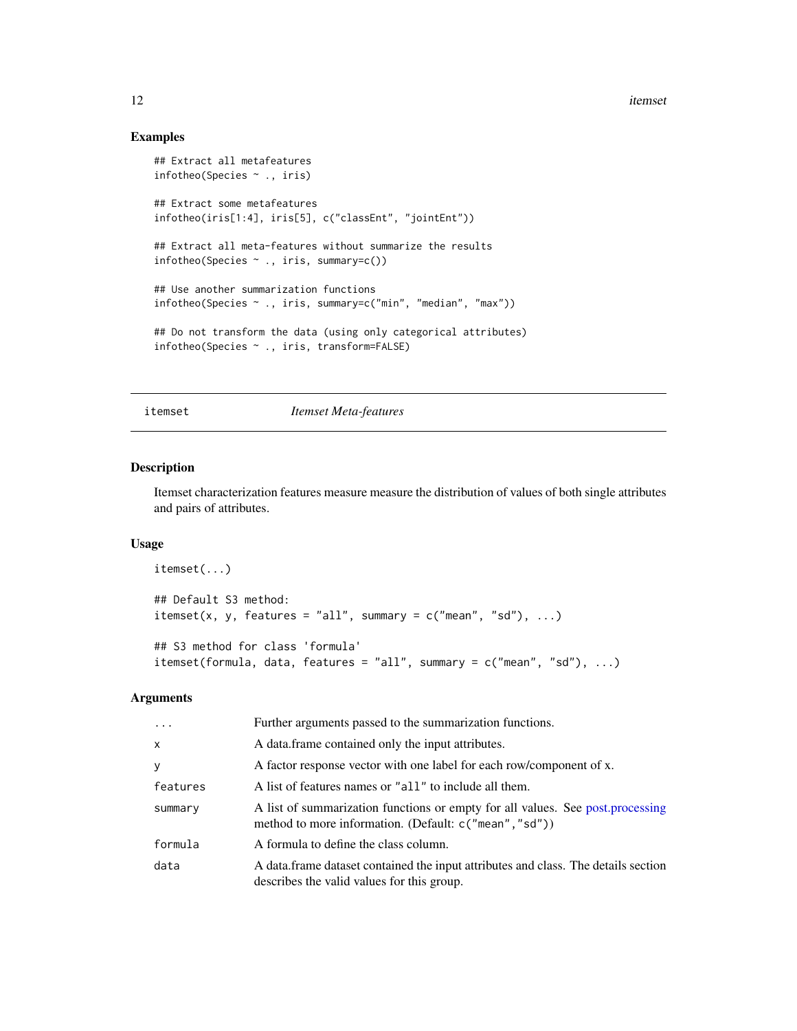12 itemset

### Examples

```
## Extract all metafeatures
infotheo(Species ~ ., iris)
## Extract some metafeatures
infotheo(iris[1:4], iris[5], c("classEnt", "jointEnt"))
## Extract all meta-features without summarize the results
infotheo(Species ~ ., iris, summary=c())
## Use another summarization functions
infotheo(Species ~ ., iris, summary=c("min", "median", "max"))
## Do not transform the data (using only categorical attributes)
infotheo(Species ~ ., iris, transform=FALSE)
```
<span id="page-11-1"></span>itemset *Itemset Meta-features*

#### Description

Itemset characterization features measure measure the distribution of values of both single attributes and pairs of attributes.

### Usage

```
itemset(...)
## Default S3 method:
itemset(x, y, features = "all", summary = c("mean", "sd"), ...)
## S3 method for class 'formula'
itemset(formula, data, features = "all", summary = c("mean", "sd"), ...)
```
### Arguments

| $\cdots$     | Further arguments passed to the summarization functions.                                                                                 |
|--------------|------------------------------------------------------------------------------------------------------------------------------------------|
| $\mathsf{x}$ | A data frame contained only the input attributes.                                                                                        |
| У            | A factor response vector with one label for each row/component of x.                                                                     |
| features     | A list of features names or "all" to include all them.                                                                                   |
| summary      | A list of summarization functions or empty for all values. See post.processing<br>method to more information. (Default: c("mean", "sd")) |
| formula      | A formula to define the class column.                                                                                                    |
| data         | A data frame dataset contained the input attributes and class. The details section<br>describes the valid values for this group.         |

<span id="page-11-0"></span>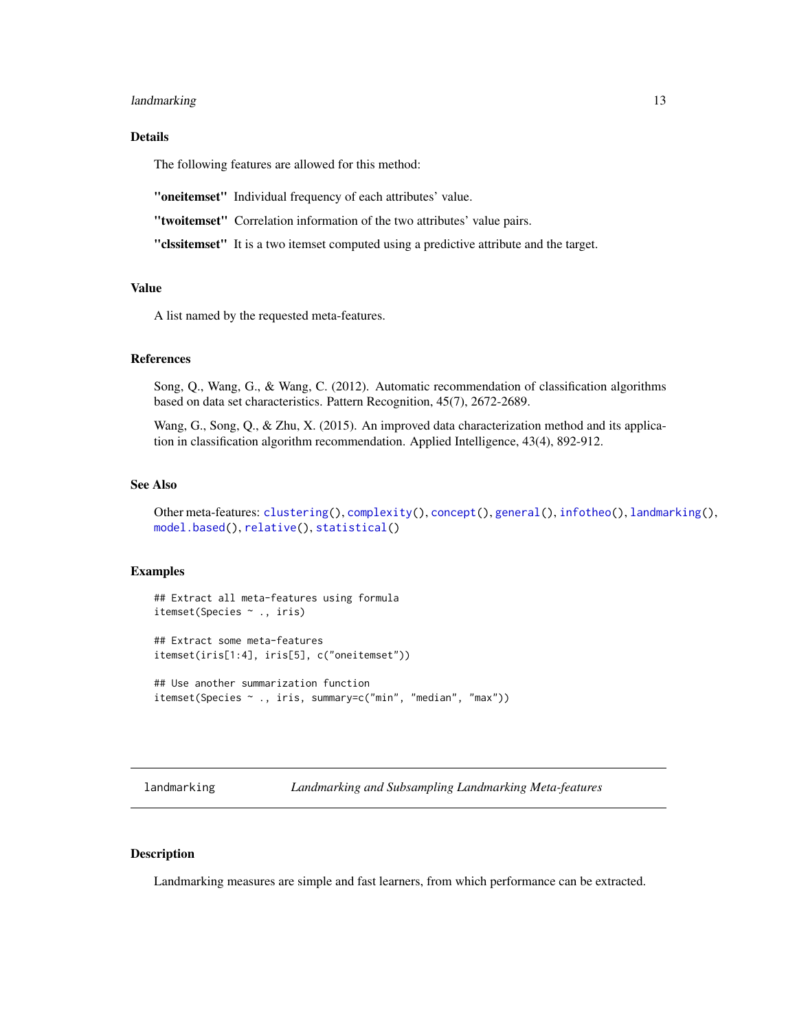### <span id="page-12-0"></span>landmarking 13

### Details

The following features are allowed for this method:

"oneitemset" Individual frequency of each attributes' value.

"twoitemset" Correlation information of the two attributes' value pairs.

"clssitemset" It is a two itemset computed using a predictive attribute and the target.

#### Value

A list named by the requested meta-features.

### References

Song, Q., Wang, G., & Wang, C. (2012). Automatic recommendation of classification algorithms based on data set characteristics. Pattern Recognition, 45(7), 2672-2689.

Wang, G., Song, Q., & Zhu, X. (2015). An improved data characterization method and its application in classification algorithm recommendation. Applied Intelligence, 43(4), 892-912.

#### See Also

Other meta-features: [clustering\(](#page-1-1)), [complexity\(](#page-3-1)), [concept\(](#page-5-1)), [general\(](#page-7-1)), [infotheo\(](#page-9-1)), [landmarking\(](#page-12-1)), [model.based\(](#page-21-1)), [relative\(](#page-25-1)), [statistical\(](#page-27-1))

### Examples

```
## Extract all meta-features using formula
itemset(Species ~ ., iris)
## Extract some meta-features
itemset(iris[1:4], iris[5], c("oneitemset"))
```

```
## Use another summarization function
itemset(Species ~ ., iris, summary=c("min", "median", "max"))
```
<span id="page-12-1"></span>landmarking *Landmarking and Subsampling Landmarking Meta-features*

### **Description**

Landmarking measures are simple and fast learners, from which performance can be extracted.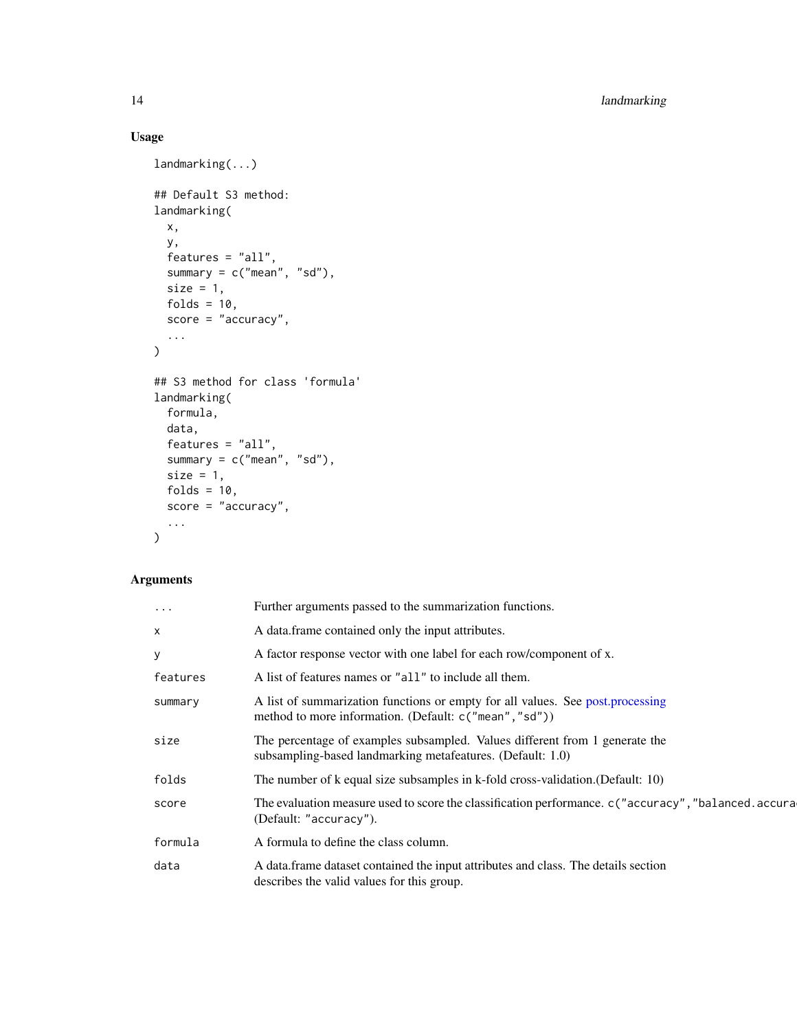### Usage

```
landmarking(...)
## Default S3 method:
landmarking(
 x,
 y,
 features = "all",
 summary = c("mean", "sd"),
 size = 1,folds = 10,
 score = "accuracy",
  ...
\mathcal{L}## S3 method for class 'formula'
landmarking(
 formula,
 data,
 features = "all",
 summary = c("mean", "sd"),
 size = 1,folds = 10,
 score = "accuracy",
  ...
\mathcal{L}
```
### Arguments

| A data frame contained only the input attributes.<br>X                                                                                               |  |
|------------------------------------------------------------------------------------------------------------------------------------------------------|--|
| A factor response vector with one label for each row/component of x.<br>У                                                                            |  |
| A list of features names or "all" to include all them.<br>features                                                                                   |  |
| A list of summarization functions or empty for all values. See post, processing<br>summary<br>method to more information. (Default: c("mean", "sd")) |  |
| The percentage of examples subsampled. Values different from 1 generate the<br>size<br>subsampling-based landmarking metafeatures. (Default: 1.0)    |  |
| The number of k equal size subsamples in k-fold cross-validation. (Default: 10)<br>folds                                                             |  |
| The evaluation measure used to score the classification performance. c("accuracy", "balanced.accura<br>score<br>(Default: "accuracy").               |  |
| A formula to define the class column.<br>formula                                                                                                     |  |
| A data.frame dataset contained the input attributes and class. The details section<br>data<br>describes the valid values for this group.             |  |

<span id="page-13-0"></span>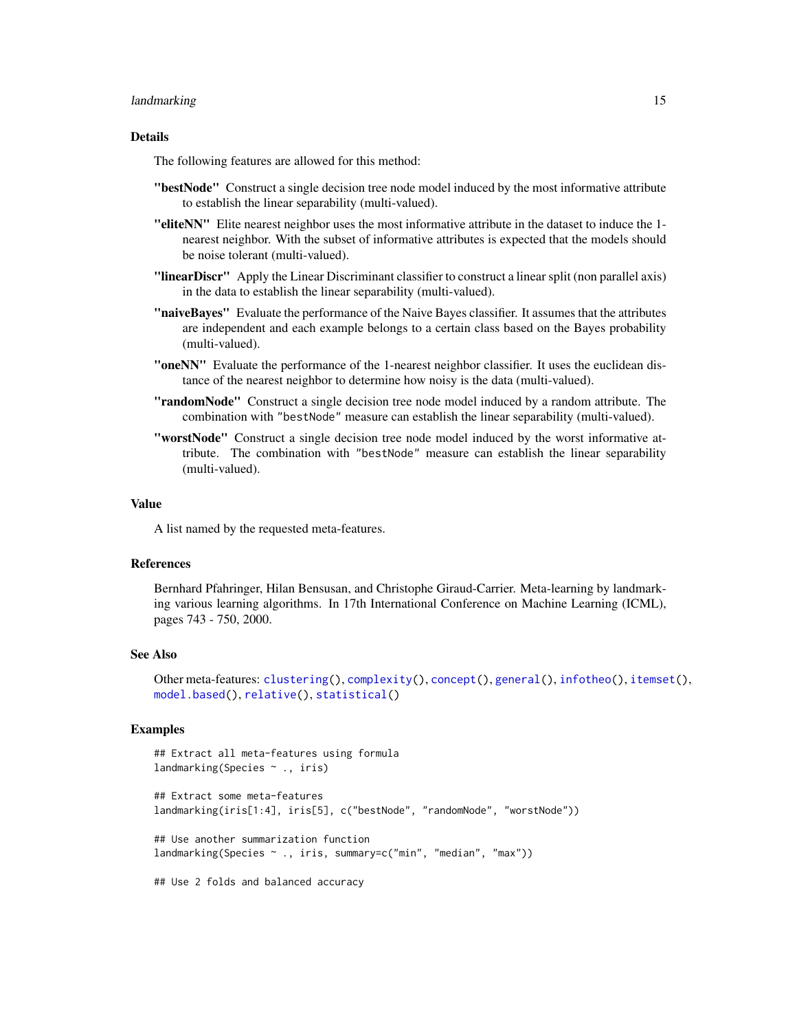#### <span id="page-14-0"></span>landmarking 15

#### Details

The following features are allowed for this method:

- "bestNode" Construct a single decision tree node model induced by the most informative attribute to establish the linear separability (multi-valued).
- "eliteNN" Elite nearest neighbor uses the most informative attribute in the dataset to induce the 1 nearest neighbor. With the subset of informative attributes is expected that the models should be noise tolerant (multi-valued).
- "linearDiscr" Apply the Linear Discriminant classifier to construct a linear split (non parallel axis) in the data to establish the linear separability (multi-valued).
- "naiveBayes" Evaluate the performance of the Naive Bayes classifier. It assumes that the attributes are independent and each example belongs to a certain class based on the Bayes probability (multi-valued).
- "oneNN" Evaluate the performance of the 1-nearest neighbor classifier. It uses the euclidean distance of the nearest neighbor to determine how noisy is the data (multi-valued).
- "randomNode" Construct a single decision tree node model induced by a random attribute. The combination with "bestNode" measure can establish the linear separability (multi-valued).
- "worstNode" Construct a single decision tree node model induced by the worst informative attribute. The combination with "bestNode" measure can establish the linear separability (multi-valued).

#### Value

A list named by the requested meta-features.

#### References

Bernhard Pfahringer, Hilan Bensusan, and Christophe Giraud-Carrier. Meta-learning by landmarking various learning algorithms. In 17th International Conference on Machine Learning (ICML), pages 743 - 750, 2000.

#### See Also

Other meta-features: [clustering\(](#page-1-1)), [complexity\(](#page-3-1)), [concept\(](#page-5-1)), [general\(](#page-7-1)), [infotheo\(](#page-9-1)), [itemset\(](#page-11-1)), [model.based\(](#page-21-1)), [relative\(](#page-25-1)), [statistical\(](#page-27-1))

#### Examples

```
## Extract all meta-features using formula
landmarking(Species ~ ., iris)
## Extract some meta-features
landmarking(iris[1:4], iris[5], c("bestNode", "randomNode", "worstNode"))
## Use another summarization function
landmarking(Species ~ ., iris, summary=c("min", "median", "max"))
## Use 2 folds and balanced accuracy
```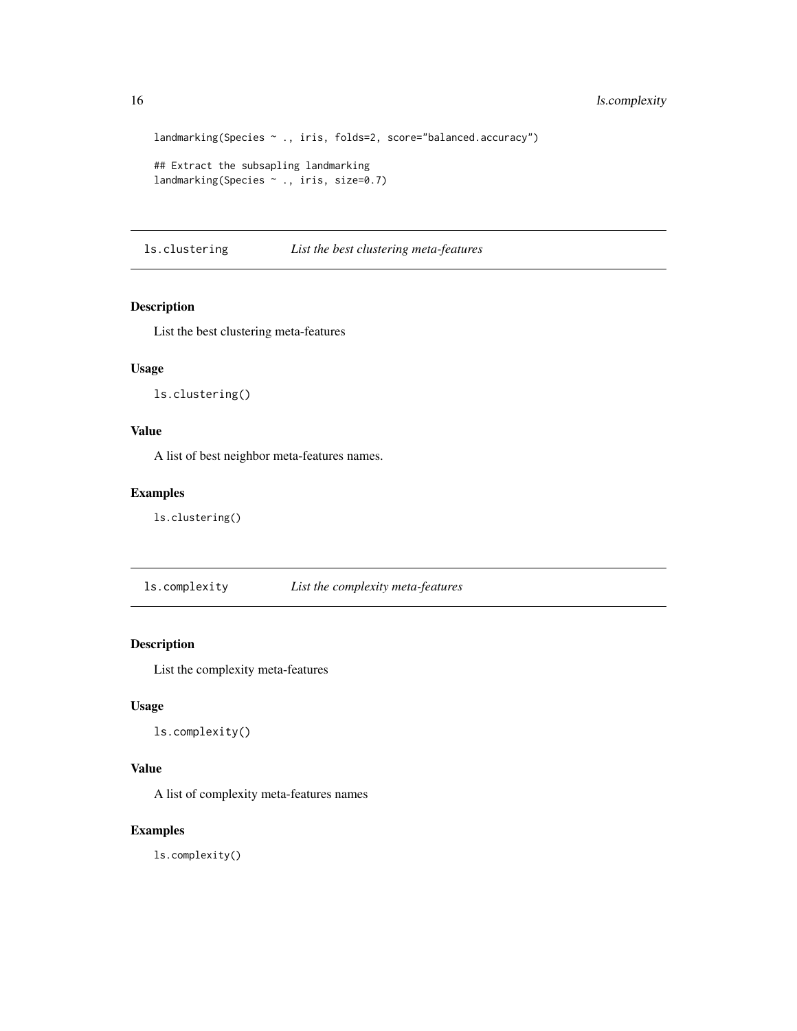```
landmarking(Species ~ ., iris, folds=2, score="balanced.accuracy")
## Extract the subsapling landmarking
landmarking(Species ~ ., iris, size=0.7)
```
ls.clustering *List the best clustering meta-features*

### Description

List the best clustering meta-features

### Usage

ls.clustering()

### Value

A list of best neighbor meta-features names.

### Examples

ls.clustering()

ls.complexity *List the complexity meta-features*

### Description

List the complexity meta-features

### Usage

```
ls.complexity()
```
### Value

A list of complexity meta-features names

### Examples

ls.complexity()

<span id="page-15-0"></span>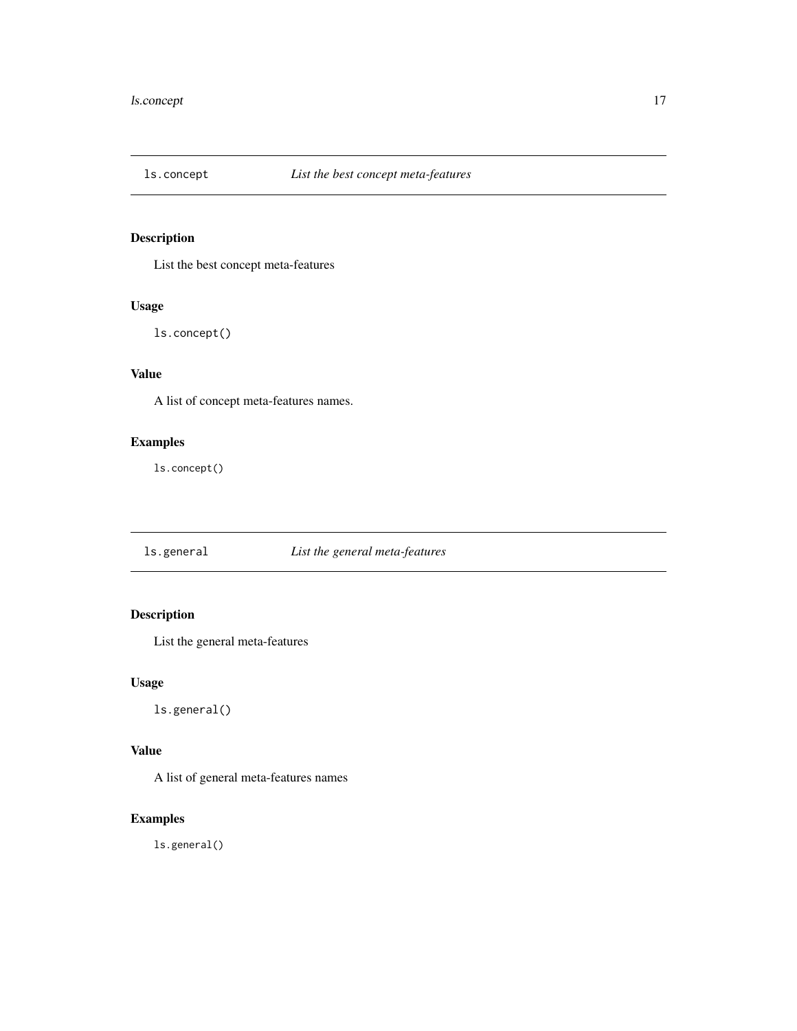<span id="page-16-0"></span>

List the best concept meta-features

### Usage

ls.concept()

### Value

A list of concept meta-features names.

### Examples

ls.concept()

ls.general *List the general meta-features*

### Description

List the general meta-features

### Usage

ls.general()

### Value

A list of general meta-features names

### Examples

ls.general()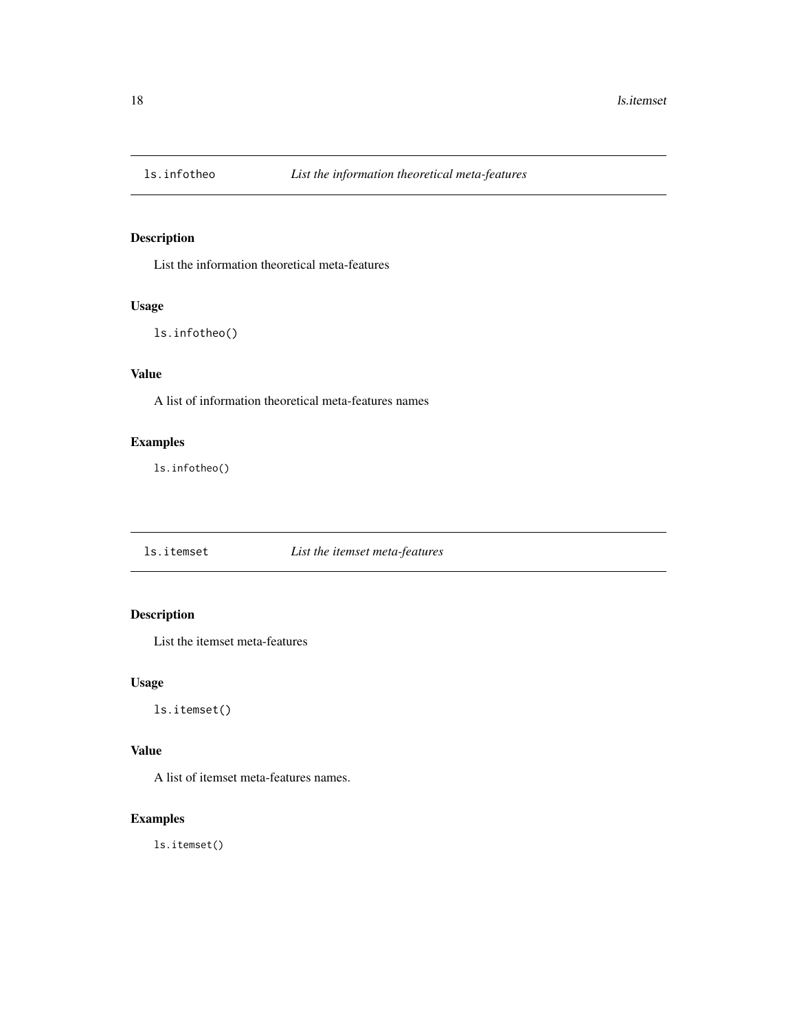<span id="page-17-0"></span>

List the information theoretical meta-features

### Usage

ls.infotheo()

### Value

A list of information theoretical meta-features names

### Examples

ls.infotheo()

ls.itemset *List the itemset meta-features*

### Description

List the itemset meta-features

### Usage

ls.itemset()

### Value

A list of itemset meta-features names.

### Examples

ls.itemset()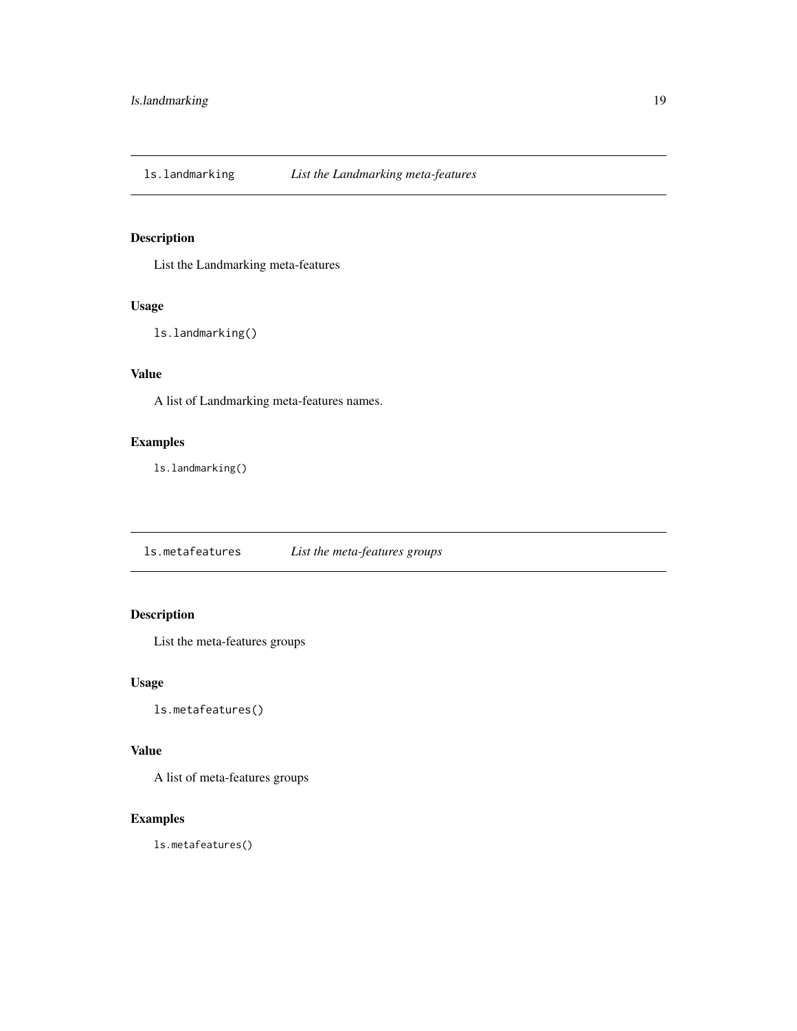<span id="page-18-0"></span>

List the Landmarking meta-features

### Usage

ls.landmarking()

### Value

A list of Landmarking meta-features names.

### Examples

ls.landmarking()

ls.metafeatures *List the meta-features groups*

### Description

List the meta-features groups

### Usage

ls.metafeatures()

### Value

A list of meta-features groups

### Examples

ls.metafeatures()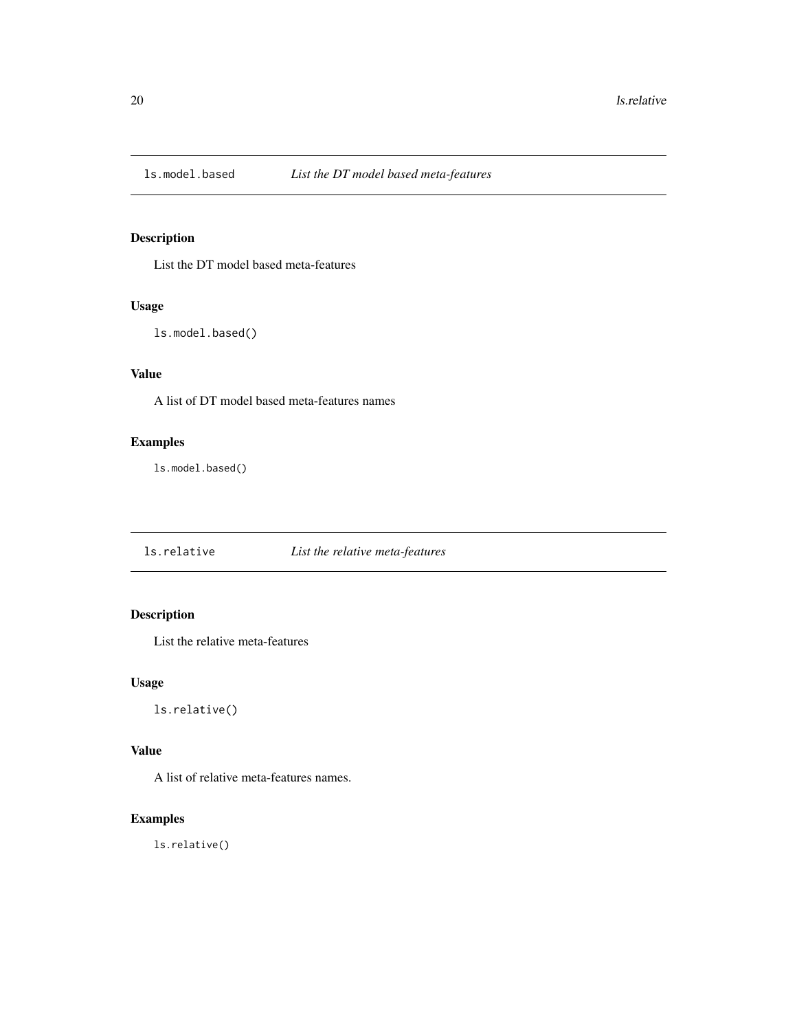<span id="page-19-0"></span>

List the DT model based meta-features

### Usage

```
ls.model.based()
```
### Value

A list of DT model based meta-features names

### Examples

ls.model.based()

ls.relative *List the relative meta-features*

### Description

List the relative meta-features

### Usage

ls.relative()

### Value

A list of relative meta-features names.

### Examples

ls.relative()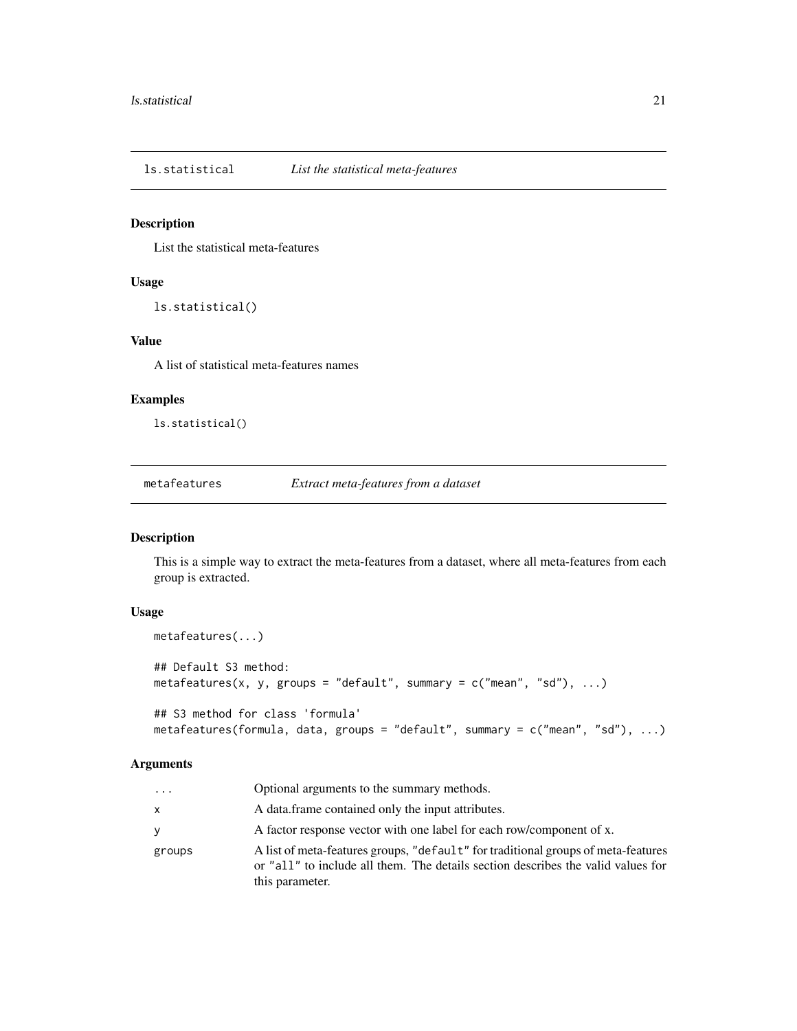<span id="page-20-0"></span>ls.statistical *List the statistical meta-features*

### Description

List the statistical meta-features

#### Usage

```
ls.statistical()
```
### Value

A list of statistical meta-features names

### Examples

ls.statistical()

metafeatures *Extract meta-features from a dataset*

### Description

This is a simple way to extract the meta-features from a dataset, where all meta-features from each group is extracted.

#### Usage

```
metafeatures(...)
## Default S3 method:
metafeatures(x, y, groups = "default", summary = c("mean", "sd"), ...)
```

```
## S3 method for class 'formula'
metafeatures(formula, data, groups = "default", summary = c("mean", "sd"), ...)
```
### Arguments

| $\cdots$ | Optional arguments to the summary methods.                                                                                                                                               |
|----------|------------------------------------------------------------------------------------------------------------------------------------------------------------------------------------------|
| x        | A data frame contained only the input attributes.                                                                                                                                        |
| v        | A factor response vector with one label for each row/component of x.                                                                                                                     |
| groups   | A list of meta-features groups, "default" for traditional groups of meta-features<br>or "all" to include all them. The details section describes the valid values for<br>this parameter. |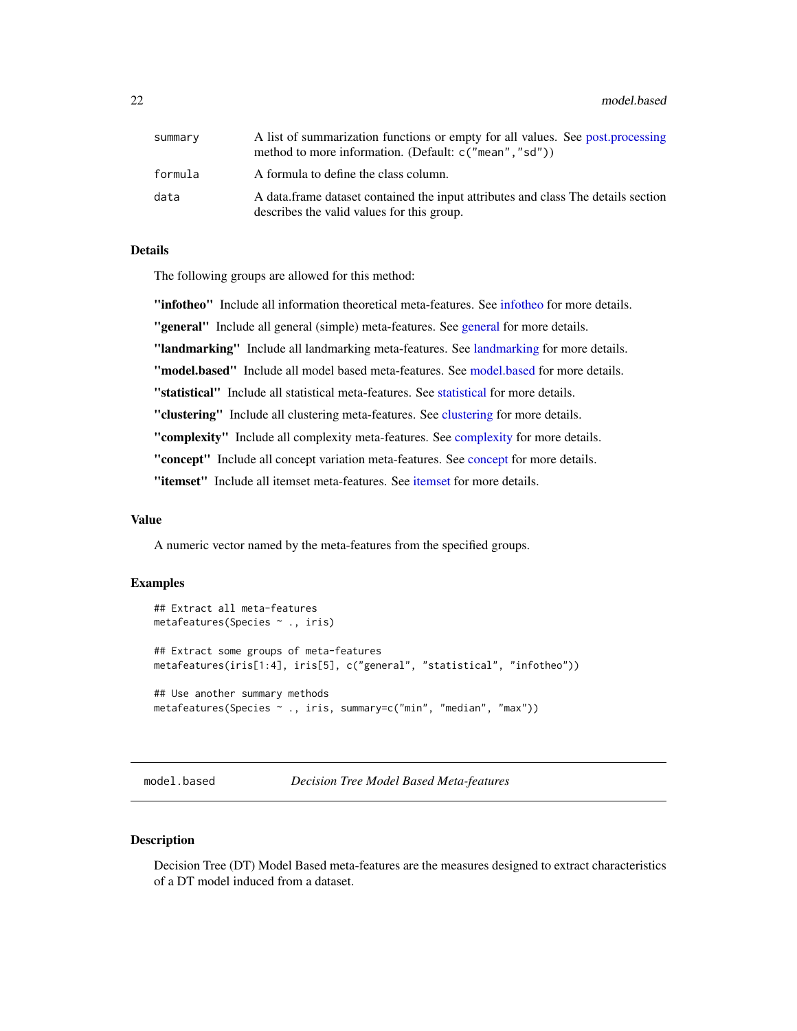<span id="page-21-0"></span>22 model.based and the set of the set of the set of the set of the set of the set of the set of the set of the set of the set of the set of the set of the set of the set of the set of the set of the set of the set of the s

| summary | A list of summarization functions or empty for all values. See post, processing<br>method to more information. (Default: c("mean", "sd")) |
|---------|-------------------------------------------------------------------------------------------------------------------------------------------|
| formula | A formula to define the class column.                                                                                                     |
| data    | A data frame dataset contained the input attributes and class The details section<br>describes the valid values for this group.           |

### Details

The following groups are allowed for this method:

"infotheo" Include all information theoretical meta-features. See [infotheo](#page-9-1) for more details.

"[general](#page-7-1)" Include all general (simple) meta-features. See general for more details.

"[landmarking](#page-12-1)" Include all landmarking meta-features. See landmarking for more details.

"model.based" Include all model based meta-features. See [model.based](#page-21-1) for more details.

"statistical" Include all statistical meta-features. See [statistical](#page-27-1) for more details.

"[clustering](#page-1-1)" Include all clustering meta-features. See clustering for more details.

"[complexity](#page-3-1)" Include all complexity meta-features. See complexity for more details.

"[concept](#page-5-1)" Include all concept variation meta-features. See concept for more details.

"[itemset](#page-11-1)" Include all itemset meta-features. See itemset for more details.

#### Value

A numeric vector named by the meta-features from the specified groups.

### Examples

```
## Extract all meta-features
metafeatures(Species ~ ., iris)
## Extract some groups of meta-features
metafeatures(iris[1:4], iris[5], c("general", "statistical", "infotheo"))
## Use another summary methods
metafeatures(Species ~ ., iris, summary=c("min", "median", "max"))
```
<span id="page-21-1"></span>model.based *Decision Tree Model Based Meta-features*

#### Description

Decision Tree (DT) Model Based meta-features are the measures designed to extract characteristics of a DT model induced from a dataset.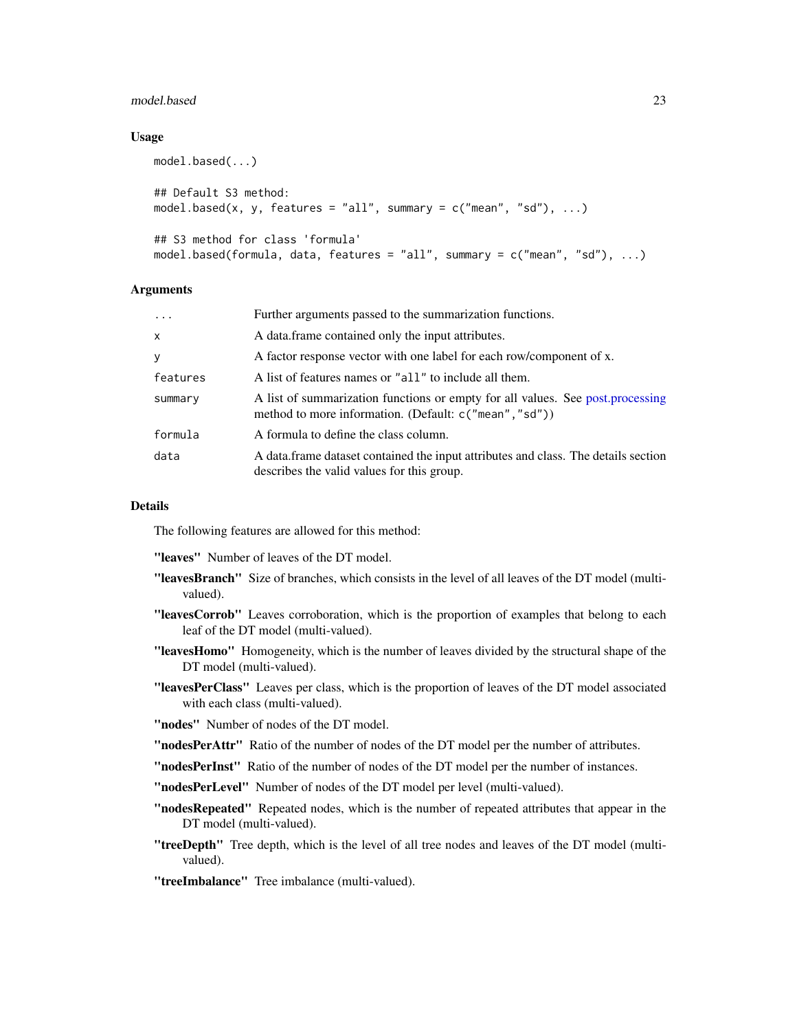#### <span id="page-22-0"></span>model.based 23

### Usage

```
model.based(...)
## Default S3 method:
model.based(x, y, features = "all", summary = c("mean", "sd"), ...)
## S3 method for class 'formula'
model.based(formula, data, features = "all", summary = c("mean", "sd"), ...)
```
#### Arguments

| $\cdots$     | Further arguments passed to the summarization functions.                                                                                 |
|--------------|------------------------------------------------------------------------------------------------------------------------------------------|
| $\mathsf{x}$ | A data frame contained only the input attributes.                                                                                        |
| y            | A factor response vector with one label for each row/component of x.                                                                     |
| features     | A list of features names or "all" to include all them.                                                                                   |
| summary      | A list of summarization functions or empty for all values. See post.processing<br>method to more information. (Default: c("mean", "sd")) |
| formula      | A formula to define the class column.                                                                                                    |
| data         | A data frame dataset contained the input attributes and class. The details section<br>describes the valid values for this group.         |

### Details

The following features are allowed for this method:

"leaves" Number of leaves of the DT model.

- "leavesBranch" Size of branches, which consists in the level of all leaves of the DT model (multivalued).
- "leavesCorrob" Leaves corroboration, which is the proportion of examples that belong to each leaf of the DT model (multi-valued).
- "leavesHomo" Homogeneity, which is the number of leaves divided by the structural shape of the DT model (multi-valued).
- "leavesPerClass" Leaves per class, which is the proportion of leaves of the DT model associated with each class (multi-valued).
- "nodes" Number of nodes of the DT model.
- "nodesPerAttr" Ratio of the number of nodes of the DT model per the number of attributes.

"nodesPerInst" Ratio of the number of nodes of the DT model per the number of instances.

"nodesPerLevel" Number of nodes of the DT model per level (multi-valued).

- "nodesRepeated" Repeated nodes, which is the number of repeated attributes that appear in the DT model (multi-valued).
- "treeDepth" Tree depth, which is the level of all tree nodes and leaves of the DT model (multivalued).
- "treeImbalance" Tree imbalance (multi-valued).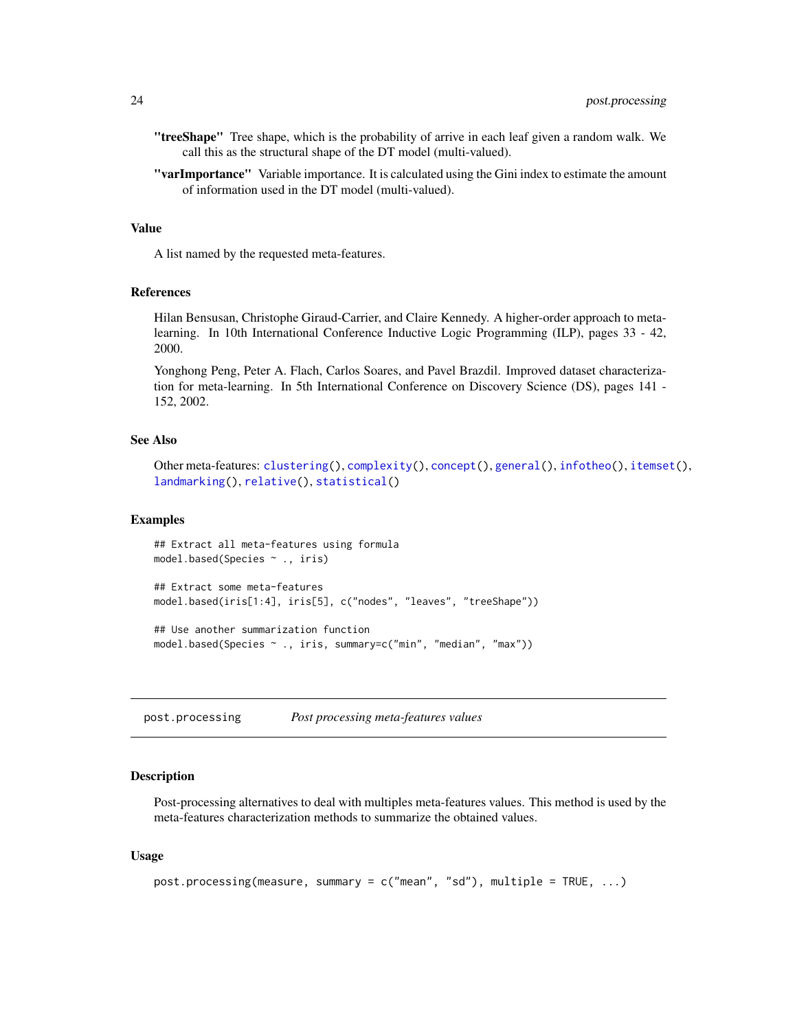- <span id="page-23-0"></span>"treeShape" Tree shape, which is the probability of arrive in each leaf given a random walk. We call this as the structural shape of the DT model (multi-valued).
- "varImportance" Variable importance. It is calculated using the Gini index to estimate the amount of information used in the DT model (multi-valued).

### Value

A list named by the requested meta-features.

#### References

Hilan Bensusan, Christophe Giraud-Carrier, and Claire Kennedy. A higher-order approach to metalearning. In 10th International Conference Inductive Logic Programming (ILP), pages 33 - 42, 2000.

Yonghong Peng, Peter A. Flach, Carlos Soares, and Pavel Brazdil. Improved dataset characterization for meta-learning. In 5th International Conference on Discovery Science (DS), pages 141 - 152, 2002.

#### See Also

```
Other meta-features: clustering(), complexity(), concept(), general(), infotheo(), itemset(),
landmarking(), relative(), statistical()
```
#### Examples

```
## Extract all meta-features using formula
model.based(Species ~ ., iris)
## Extract some meta-features
model.based(iris[1:4], iris[5], c("nodes", "leaves", "treeShape"))
## Use another summarization function
model.based(Species ~ ., iris, summary=c("min", "median", "max"))
```
<span id="page-23-1"></span>post.processing *Post processing meta-features values*

#### Description

Post-processing alternatives to deal with multiples meta-features values. This method is used by the meta-features characterization methods to summarize the obtained values.

#### Usage

```
post.processing(measure, summary = c("mean", "sd"), multiple = TRUE, ...)
```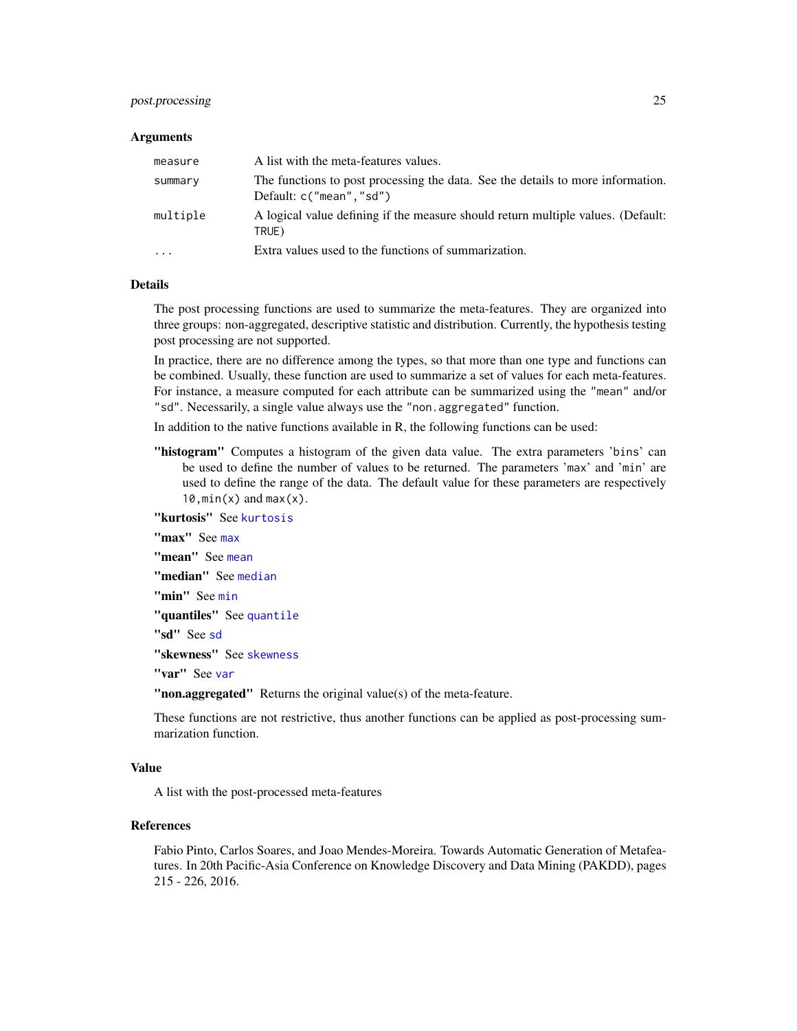### <span id="page-24-0"></span>post.processing 25

#### **Arguments**

| measure                 | A list with the meta-features values.                                                                         |
|-------------------------|---------------------------------------------------------------------------------------------------------------|
| summary                 | The functions to post processing the data. See the details to more information.<br>Default: $c("mean", "sd")$ |
| multiple                | A logical value defining if the measure should return multiple values. (Default:<br>TRUE)                     |
| $\cdot$ $\cdot$ $\cdot$ | Extra values used to the functions of summarization.                                                          |

### Details

The post processing functions are used to summarize the meta-features. They are organized into three groups: non-aggregated, descriptive statistic and distribution. Currently, the hypothesis testing post processing are not supported.

In practice, there are no difference among the types, so that more than one type and functions can be combined. Usually, these function are used to summarize a set of values for each meta-features. For instance, a measure computed for each attribute can be summarized using the "mean" and/or "sd". Necessarily, a single value always use the "non.aggregated" function.

In addition to the native functions available in R, the following functions can be used:

"histogram" Computes a histogram of the given data value. The extra parameters 'bins' can be used to define the number of values to be returned. The parameters 'max' and 'min' are used to define the range of the data. The default value for these parameters are respectively  $10, min(x)$  and  $max(x)$ .

"kurtosis" See [kurtosis](#page-0-0)

"[max](#page-0-0)" See max

"[mean](#page-0-0)" See mean

"[median](#page-0-0)" See median

"[min](#page-0-0)" See min

"[quantile](#page-0-0)s" See quantile

"sd" See [sd](#page-0-0)

"skewness" See [skewness](#page-0-0)

"[var](#page-0-0)" See var

"non.aggregated" Returns the original value(s) of the meta-feature.

These functions are not restrictive, thus another functions can be applied as post-processing summarization function.

### Value

A list with the post-processed meta-features

### References

Fabio Pinto, Carlos Soares, and Joao Mendes-Moreira. Towards Automatic Generation of Metafeatures. In 20th Pacific-Asia Conference on Knowledge Discovery and Data Mining (PAKDD), pages 215 - 226, 2016.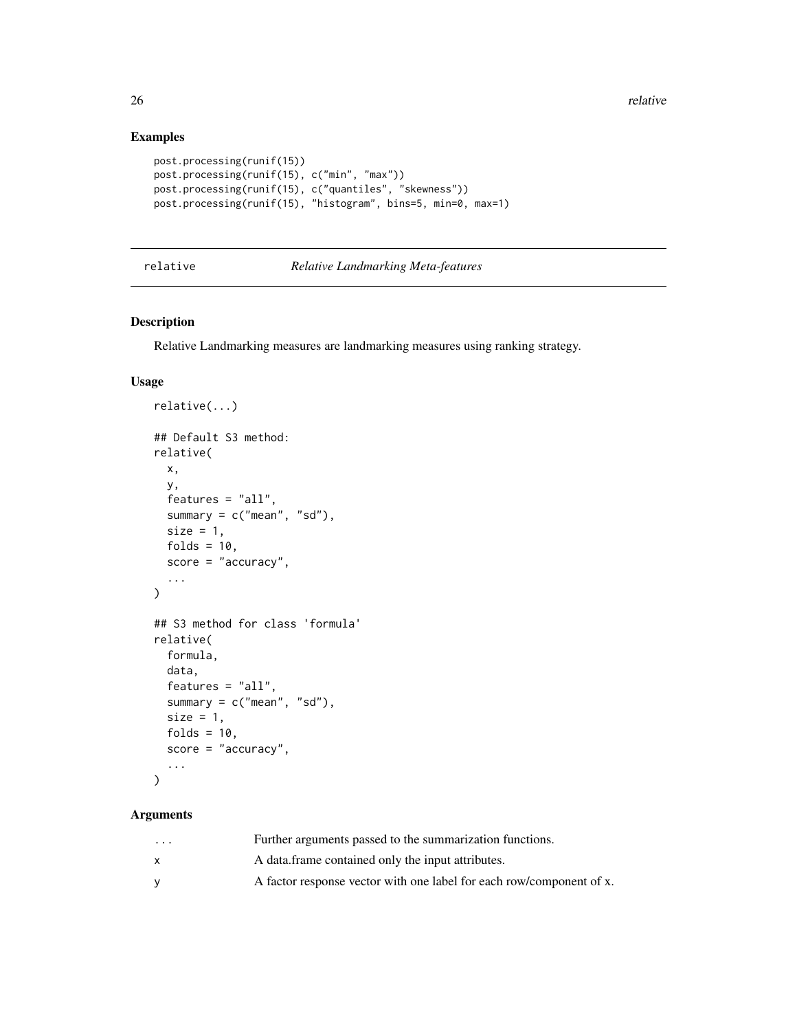### Examples

```
post.processing(runif(15))
post.processing(runif(15), c("min", "max"))
post.processing(runif(15), c("quantiles", "skewness"))
post.processing(runif(15), "histogram", bins=5, min=0, max=1)
```
### <span id="page-25-1"></span>relative *Relative Landmarking Meta-features*

### Description

Relative Landmarking measures are landmarking measures using ranking strategy.

### Usage

```
relative(...)
## Default S3 method:
relative(
 x,
 y,
 features = "all",
  summary = c("mean", "sd"),
 size = 1,
  folds = 10,
  score = "accuracy",
  ...
)
## S3 method for class 'formula'
relative(
 formula,
 data,
  features = "all",
  summary = c("mean", "sd"),
 size = 1,
 folds = 10,
  score = "accuracy",
  ...
\mathcal{L}
```
## Arguments

| $\cdot$ $\cdot$ $\cdot$ | Further arguments passed to the summarization functions.             |
|-------------------------|----------------------------------------------------------------------|
|                         | A data frame contained only the input attributes.                    |
| v                       | A factor response vector with one label for each row/component of x. |

<span id="page-25-0"></span>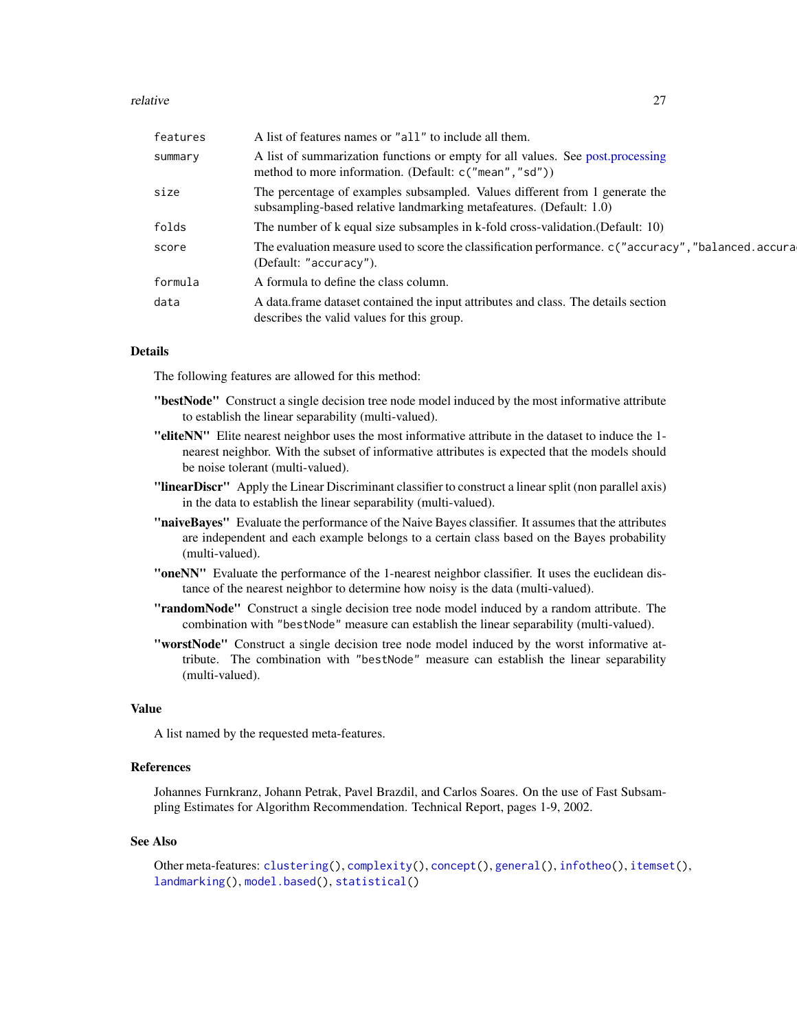#### <span id="page-26-0"></span>relative 27

| features | A list of features names or "all" to include all them.                                                                                             |
|----------|----------------------------------------------------------------------------------------------------------------------------------------------------|
| summary  | A list of summarization functions or empty for all values. See post, processing<br>method to more information. (Default: c("mean", "sd"))          |
| size     | The percentage of examples subsampled. Values different from 1 generate the<br>subsampling-based relative landmarking metafeatures. (Default: 1.0) |
| folds    | The number of k equal size subsamples in k-fold cross-validation. (Default: 10)                                                                    |
| score    | The evaluation measure used to score the classification performance. c("accuracy", "balanced.accura<br>(Default: "accuracy").                      |
| formula  | A formula to define the class column.                                                                                                              |
| data     | A data frame dataset contained the input attributes and class. The details section<br>describes the valid values for this group.                   |

### Details

The following features are allowed for this method:

- "bestNode" Construct a single decision tree node model induced by the most informative attribute to establish the linear separability (multi-valued).
- "eliteNN" Elite nearest neighbor uses the most informative attribute in the dataset to induce the 1 nearest neighbor. With the subset of informative attributes is expected that the models should be noise tolerant (multi-valued).
- "linearDiscr" Apply the Linear Discriminant classifier to construct a linear split (non parallel axis) in the data to establish the linear separability (multi-valued).
- "naiveBayes" Evaluate the performance of the Naive Bayes classifier. It assumes that the attributes are independent and each example belongs to a certain class based on the Bayes probability (multi-valued).
- "oneNN" Evaluate the performance of the 1-nearest neighbor classifier. It uses the euclidean distance of the nearest neighbor to determine how noisy is the data (multi-valued).
- "randomNode" Construct a single decision tree node model induced by a random attribute. The combination with "bestNode" measure can establish the linear separability (multi-valued).
- "worstNode" Construct a single decision tree node model induced by the worst informative attribute. The combination with "bestNode" measure can establish the linear separability (multi-valued).

### Value

A list named by the requested meta-features.

### References

Johannes Furnkranz, Johann Petrak, Pavel Brazdil, and Carlos Soares. On the use of Fast Subsampling Estimates for Algorithm Recommendation. Technical Report, pages 1-9, 2002.

#### See Also

```
Other meta-features: clustering(), complexity(), concept(), general(), infotheo(), itemset(),
landmarking(), model.based(), statistical()
```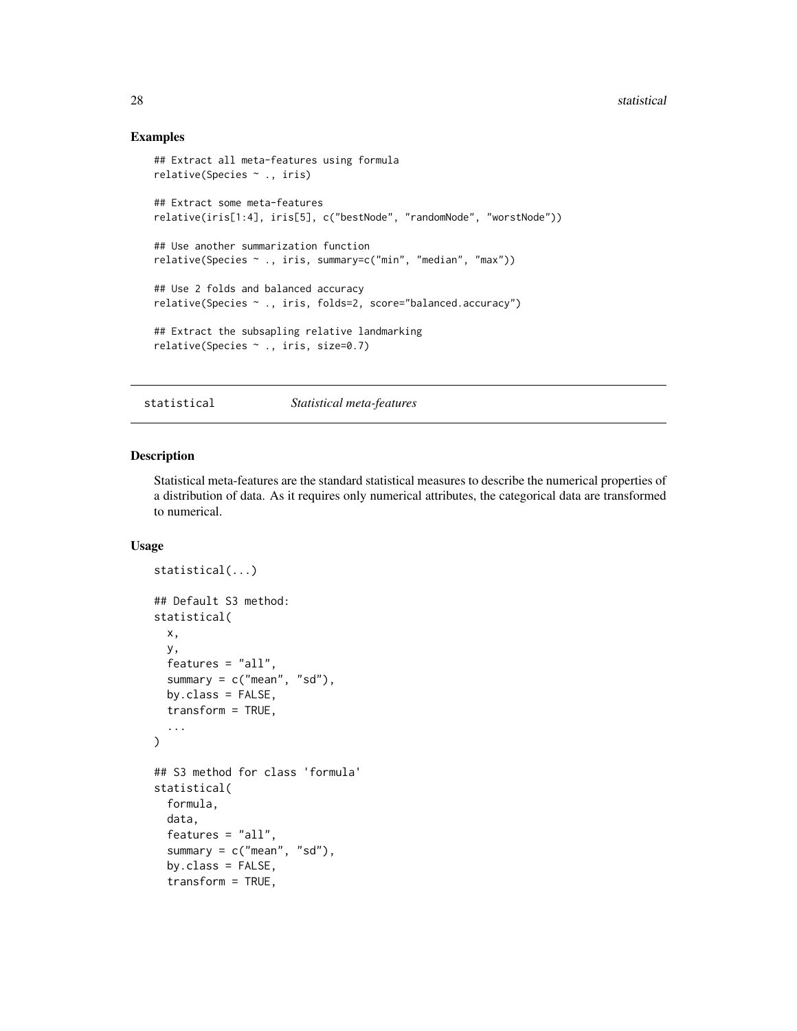### Examples

```
## Extract all meta-features using formula
relative(Species ~ ., iris)
## Extract some meta-features
relative(iris[1:4], iris[5], c("bestNode", "randomNode", "worstNode"))
## Use another summarization function
relative(Species ~ ., iris, summary=c("min", "median", "max"))
## Use 2 folds and balanced accuracy
relative(Species ~ ., iris, folds=2, score="balanced.accuracy")
## Extract the subsapling relative landmarking
relative(Species ~ ., iris, size=0.7)
```
<span id="page-27-1"></span>statistical *Statistical meta-features*

#### Description

Statistical meta-features are the standard statistical measures to describe the numerical properties of a distribution of data. As it requires only numerical attributes, the categorical data are transformed to numerical.

#### Usage

```
statistical(...)
## Default S3 method:
statistical(
 x,
 y,
 features = "all",
  summary = c("mean", "sd"),
 by.class = FALSE,
  transform = TRUE,
  ...
)
## S3 method for class 'formula'
statistical(
  formula,
 data,
  features = "all",summary = c("mean", "sd"),
  by.class = FALSE,
  transform = TRUE,
```
<span id="page-27-0"></span>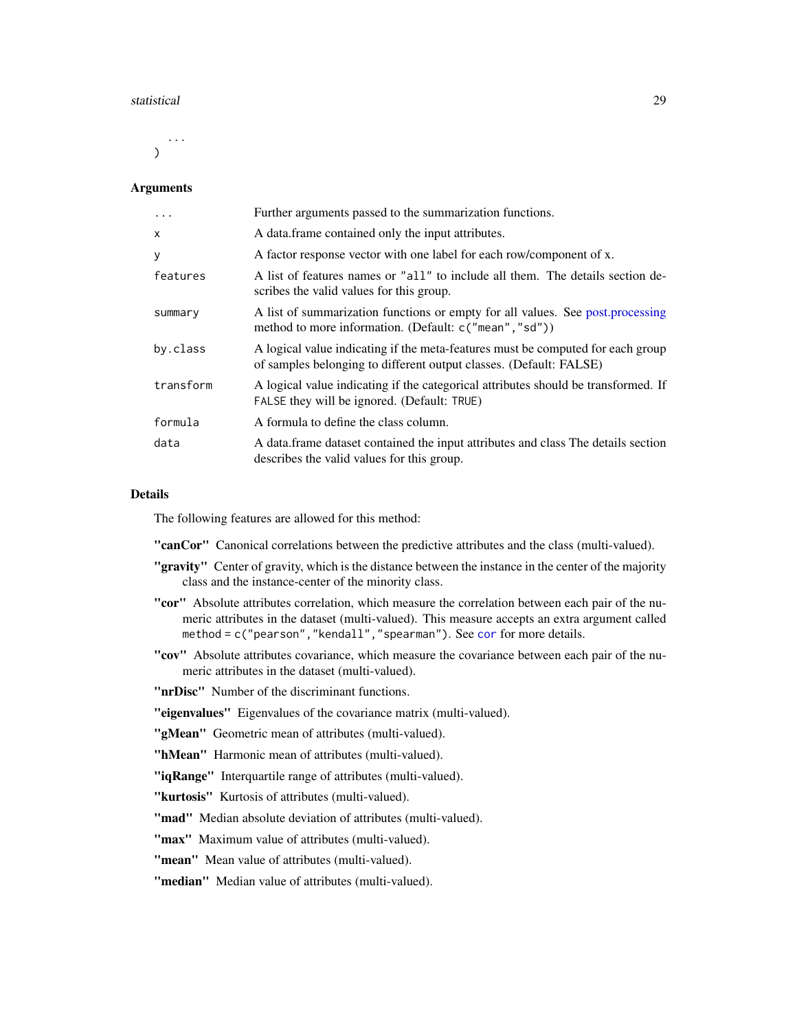#### <span id="page-28-0"></span>statistical 29

... )

#### Arguments

| $\cdot$   | Further arguments passed to the summarization functions.                                                                                              |
|-----------|-------------------------------------------------------------------------------------------------------------------------------------------------------|
| X         | A data frame contained only the input attributes.                                                                                                     |
| У         | A factor response vector with one label for each row/component of x.                                                                                  |
| features  | A list of features names or "all" to include all them. The details section de-<br>scribes the valid values for this group.                            |
| summary   | A list of summarization functions or empty for all values. See post.processing<br>method to more information. (Default: c("mean", "sd"))              |
| by.class  | A logical value indicating if the meta-features must be computed for each group<br>of samples belonging to different output classes. (Default: FALSE) |
| transform | A logical value indicating if the categorical attributes should be transformed. If<br>FALSE they will be ignored. (Default: TRUE)                     |
| formula   | A formula to define the class column.                                                                                                                 |
| data      | A data.frame dataset contained the input attributes and class The details section<br>describes the valid values for this group.                       |

### Details

The following features are allowed for this method:

"canCor" Canonical correlations between the predictive attributes and the class (multi-valued).

- "gravity" Center of gravity, which is the distance between the instance in the center of the majority class and the instance-center of the minority class.
- "cor" Absolute attributes correlation, which measure the correlation between each pair of the numeric attributes in the dataset (multi-valued). This measure accepts an extra argument called method = c("pearson", "kendall", "spearman"). See [cor](#page-0-0) for more details.
- "cov" Absolute attributes covariance, which measure the covariance between each pair of the numeric attributes in the dataset (multi-valued).

"**nrDisc**" Number of the discriminant functions.

"eigenvalues" Eigenvalues of the covariance matrix (multi-valued).

"gMean" Geometric mean of attributes (multi-valued).

"hMean" Harmonic mean of attributes (multi-valued).

"iqRange" Interquartile range of attributes (multi-valued).

"kurtosis" Kurtosis of attributes (multi-valued).

"mad" Median absolute deviation of attributes (multi-valued).

"max" Maximum value of attributes (multi-valued).

"mean" Mean value of attributes (multi-valued).

"median" Median value of attributes (multi-valued).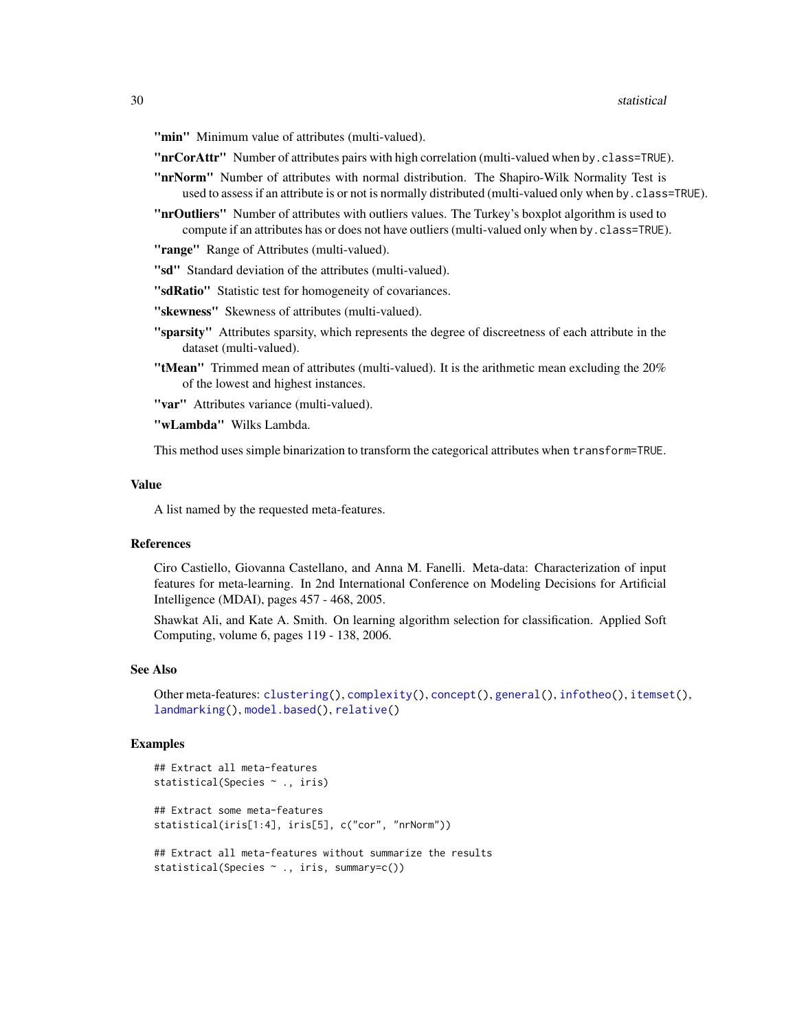<span id="page-29-0"></span>"min" Minimum value of attributes (multi-valued).

"**nrCorAttr**" Number of attributes pairs with high correlation (multi-valued when by.class=TRUE).

- "nrNorm" Number of attributes with normal distribution. The Shapiro-Wilk Normality Test is used to assess if an attribute is or not is normally distributed (multi-valued only when by.class=TRUE).
- "**nrOutliers**" Number of attributes with outliers values. The Turkey's boxplot algorithm is used to compute if an attributes has or does not have outliers (multi-valued only when by.class=TRUE).

"range" Range of Attributes (multi-valued).

"sd" Standard deviation of the attributes (multi-valued).

"sdRatio" Statistic test for homogeneity of covariances.

"skewness" Skewness of attributes (multi-valued).

- "sparsity" Attributes sparsity, which represents the degree of discreetness of each attribute in the dataset (multi-valued).
- "tMean" Trimmed mean of attributes (multi-valued). It is the arithmetic mean excluding the 20% of the lowest and highest instances.

"var" Attributes variance (multi-valued).

"wLambda" Wilks Lambda.

This method uses simple binarization to transform the categorical attributes when transform=TRUE.

#### Value

A list named by the requested meta-features.

### References

Ciro Castiello, Giovanna Castellano, and Anna M. Fanelli. Meta-data: Characterization of input features for meta-learning. In 2nd International Conference on Modeling Decisions for Artificial Intelligence (MDAI), pages 457 - 468, 2005.

Shawkat Ali, and Kate A. Smith. On learning algorithm selection for classification. Applied Soft Computing, volume 6, pages 119 - 138, 2006.

#### See Also

```
Other meta-features: clustering(), complexity(), concept(), general(), infotheo(), itemset(),
landmarking(), model.based(), relative()
```
#### Examples

```
## Extract all meta-features
statistical(Species ~ ., iris)
## Extract some meta-features
statistical(iris[1:4], iris[5], c("cor", "nrNorm"))
## Extract all meta-features without summarize the results
```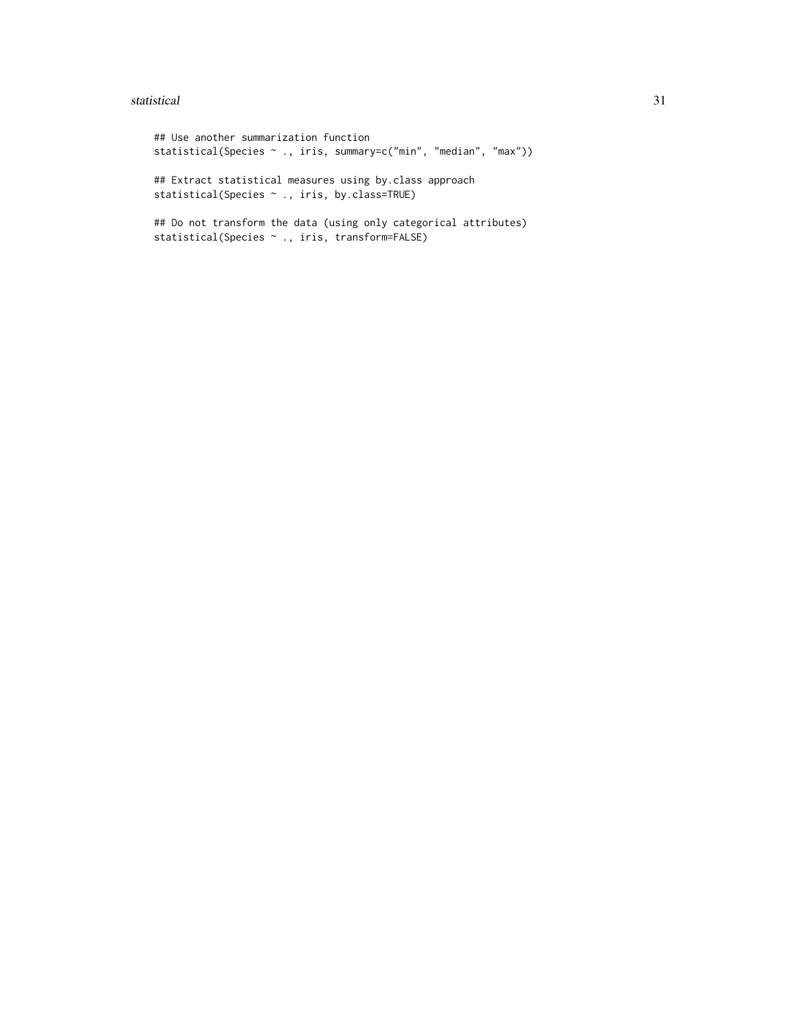#### statistical 31

## Use another summarization function statistical(Species ~ ., iris, summary=c("min", "median", "max")) ## Extract statistical measures using by.class approach statistical(Species ~ ., iris, by.class=TRUE) ## Do not transform the data (using only categorical attributes) statistical(Species ~ ., iris, transform=FALSE)